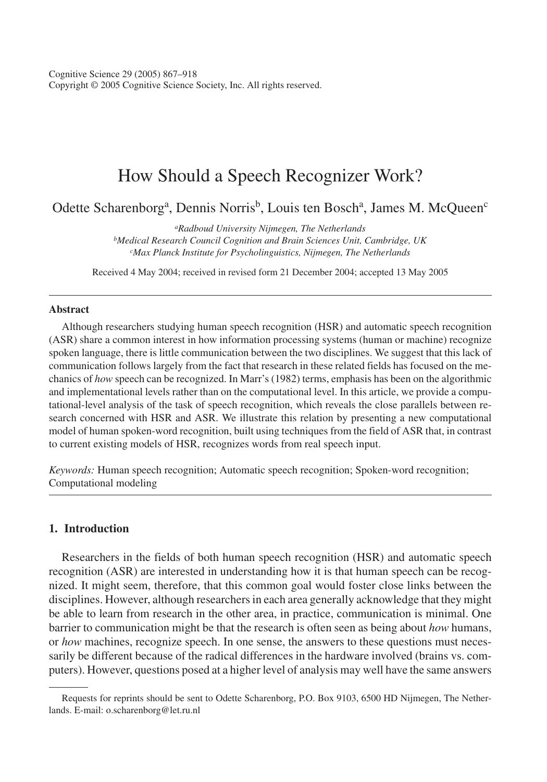Cognitive Science 29 (2005) 867–918 Copyright © 2005 Cognitive Science Society, Inc. All rights reserved.

# How Should a Speech Recognizer Work?

Odette Scharenborg<sup>a</sup>, Dennis Norris<sup>b</sup>, Louis ten Bosch<sup>a</sup>, James M. McQueen<sup>c</sup>

*aRadboud University Nijmegen, The Netherlands bMedical Research Council Cognition and Brain Sciences Unit, Cambridge, UK cMax Planck Institute for Psycholinguistics, Nijmegen, The Netherlands*

Received 4 May 2004; received in revised form 21 December 2004; accepted 13 May 2005

#### **Abstract**

Although researchers studying human speech recognition (HSR) and automatic speech recognition (ASR) share a common interest in how information processing systems (human or machine) recognize spoken language, there is little communication between the two disciplines. We suggest that this lack of communication follows largely from the fact that research in these related fields has focused on the mechanics of *how* speech can be recognized. In Marr's (1982) terms, emphasis has been on the algorithmic and implementational levels rather than on the computational level. In this article, we provide a computational-level analysis of the task of speech recognition, which reveals the close parallels between research concerned with HSR and ASR. We illustrate this relation by presenting a new computational model of human spoken-word recognition, built using techniques from the field of ASR that, in contrast to current existing models of HSR, recognizes words from real speech input.

*Keywords:* Human speech recognition; Automatic speech recognition; Spoken-word recognition; Computational modeling

# **1. Introduction**

Researchers in the fields of both human speech recognition (HSR) and automatic speech recognition (ASR) are interested in understanding how it is that human speech can be recognized. It might seem, therefore, that this common goal would foster close links between the disciplines. However, although researchers in each area generally acknowledge that they might be able to learn from research in the other area, in practice, communication is minimal. One barrier to communication might be that the research is often seen as being about *how* humans, or *how* machines, recognize speech. In one sense, the answers to these questions must necessarily be different because of the radical differences in the hardware involved (brains vs. computers). However, questions posed at a higher level of analysis may well have the same answers

Requests for reprints should be sent to Odette Scharenborg, P.O. Box 9103, 6500 HD Nijmegen, The Netherlands. E-mail: o.scharenborg@let.ru.nl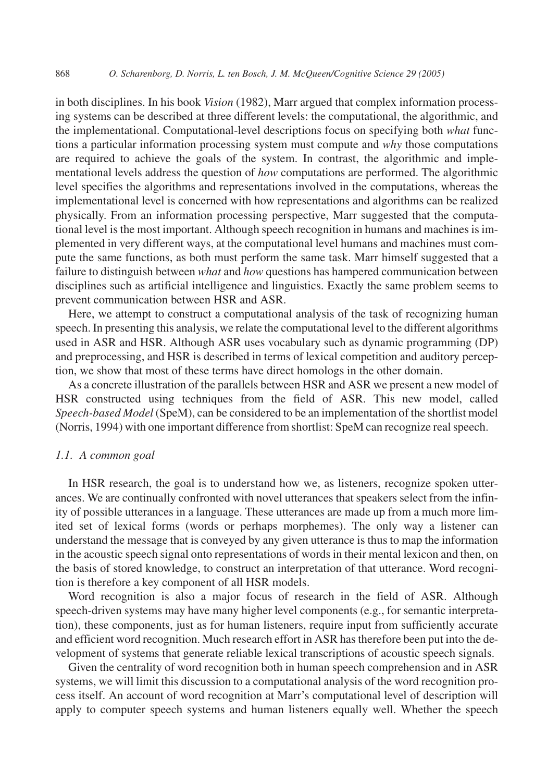in both disciplines. In his book *Vision* (1982), Marr argued that complex information processing systems can be described at three different levels: the computational, the algorithmic, and the implementational. Computational-level descriptions focus on specifying both *what* functions a particular information processing system must compute and *why* those computations are required to achieve the goals of the system. In contrast, the algorithmic and implementational levels address the question of *how* computations are performed. The algorithmic level specifies the algorithms and representations involved in the computations, whereas the implementational level is concerned with how representations and algorithms can be realized physically. From an information processing perspective, Marr suggested that the computational level is the most important. Although speech recognition in humans and machines is implemented in very different ways, at the computational level humans and machines must compute the same functions, as both must perform the same task. Marr himself suggested that a failure to distinguish between *what* and *how* questions has hampered communication between disciplines such as artificial intelligence and linguistics. Exactly the same problem seems to prevent communication between HSR and ASR.

Here, we attempt to construct a computational analysis of the task of recognizing human speech. In presenting this analysis, we relate the computational level to the different algorithms used in ASR and HSR. Although ASR uses vocabulary such as dynamic programming (DP) and preprocessing, and HSR is described in terms of lexical competition and auditory perception, we show that most of these terms have direct homologs in the other domain.

As a concrete illustration of the parallels between HSR and ASR we present a new model of HSR constructed using techniques from the field of ASR. This new model, called *Speech-based Model* (SpeM), can be considered to be an implementation of the shortlist model (Norris, 1994) with one important difference from shortlist: SpeM can recognize real speech.

## *1.1. A common goal*

In HSR research, the goal is to understand how we, as listeners, recognize spoken utterances. We are continually confronted with novel utterances that speakers select from the infinity of possible utterances in a language. These utterances are made up from a much more limited set of lexical forms (words or perhaps morphemes). The only way a listener can understand the message that is conveyed by any given utterance is thus to map the information in the acoustic speech signal onto representations of words in their mental lexicon and then, on the basis of stored knowledge, to construct an interpretation of that utterance. Word recognition is therefore a key component of all HSR models.

Word recognition is also a major focus of research in the field of ASR. Although speech-driven systems may have many higher level components (e.g., for semantic interpretation), these components, just as for human listeners, require input from sufficiently accurate and efficient word recognition. Much research effort in ASR has therefore been put into the development of systems that generate reliable lexical transcriptions of acoustic speech signals.

Given the centrality of word recognition both in human speech comprehension and in ASR systems, we will limit this discussion to a computational analysis of the word recognition process itself. An account of word recognition at Marr's computational level of description will apply to computer speech systems and human listeners equally well. Whether the speech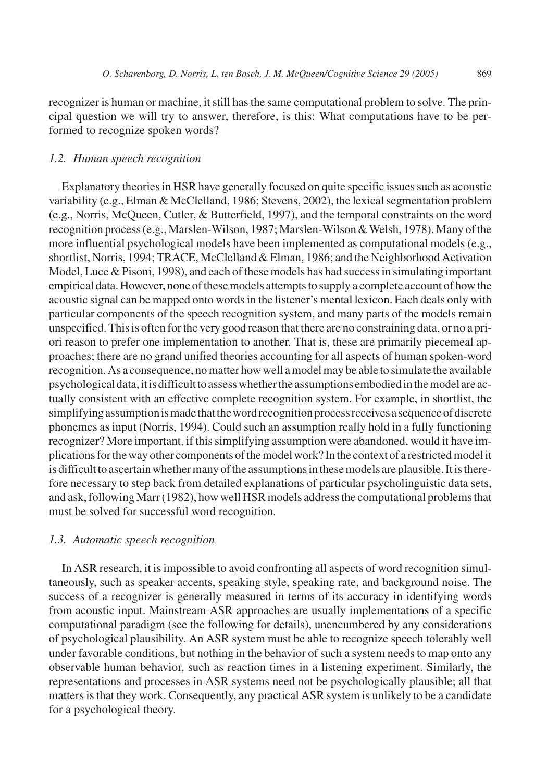recognizer is human or machine, it still has the same computational problem to solve. The principal question we will try to answer, therefore, is this: What computations have to be performed to recognize spoken words?

## *1.2. Human speech recognition*

Explanatory theories in HSR have generally focused on quite specific issues such as acoustic variability (e.g., Elman & McClelland, 1986; Stevens, 2002), the lexical segmentation problem (e.g., Norris, McQueen, Cutler, & Butterfield, 1997), and the temporal constraints on the word recognition process (e.g., Marslen-Wilson, 1987; Marslen-Wilson & Welsh, 1978). Many of the more influential psychological models have been implemented as computational models (e.g., shortlist, Norris, 1994; TRACE, McClelland & Elman, 1986; and the Neighborhood Activation Model, Luce & Pisoni, 1998), and each of these models has had success in simulating important empirical data. However, none of these models attempts to supply a complete account of how the acoustic signal can be mapped onto words in the listener's mental lexicon. Each deals only with particular components of the speech recognition system, and many parts of the models remain unspecified. This is often for the very good reason that there are no constraining data, or no a priori reason to prefer one implementation to another. That is, these are primarily piecemeal approaches; there are no grand unified theories accounting for all aspects of human spoken-word recognition. As a consequence, no matter how well a model may be able to simulate the available psychologicaldata,itisdifficulttoassesswhethertheassumptionsembodiedinthemodelareactually consistent with an effective complete recognition system. For example, in shortlist, the simplifying assumption is made that the word recognition process receives a sequence of discrete phonemes as input (Norris, 1994). Could such an assumption really hold in a fully functioning recognizer? More important, if this simplifying assumption were abandoned, would it have implications for the way other components of the model work? In the context of a restricted model it is difficult to ascertain whether many of the assumptions in these models are plausible. It is therefore necessary to step back from detailed explanations of particular psycholinguistic data sets, and ask, following Marr (1982), how well HSR models address the computational problems that must be solved for successful word recognition.

# *1.3. Automatic speech recognition*

In ASR research, it is impossible to avoid confronting all aspects of word recognition simultaneously, such as speaker accents, speaking style, speaking rate, and background noise. The success of a recognizer is generally measured in terms of its accuracy in identifying words from acoustic input. Mainstream ASR approaches are usually implementations of a specific computational paradigm (see the following for details), unencumbered by any considerations of psychological plausibility. An ASR system must be able to recognize speech tolerably well under favorable conditions, but nothing in the behavior of such a system needs to map onto any observable human behavior, such as reaction times in a listening experiment. Similarly, the representations and processes in ASR systems need not be psychologically plausible; all that matters is that they work. Consequently, any practical ASR system is unlikely to be a candidate for a psychological theory.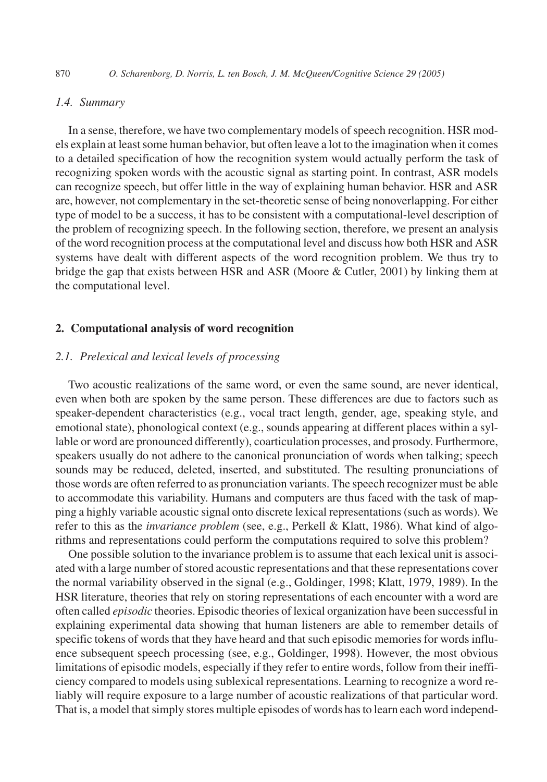# *1.4. Summary*

In a sense, therefore, we have two complementary models of speech recognition. HSR models explain at least some human behavior, but often leave a lot to the imagination when it comes to a detailed specification of how the recognition system would actually perform the task of recognizing spoken words with the acoustic signal as starting point. In contrast, ASR models can recognize speech, but offer little in the way of explaining human behavior. HSR and ASR are, however, not complementary in the set-theoretic sense of being nonoverlapping. For either type of model to be a success, it has to be consistent with a computational-level description of the problem of recognizing speech. In the following section, therefore, we present an analysis of the word recognition process at the computational level and discuss how both HSR and ASR systems have dealt with different aspects of the word recognition problem. We thus try to bridge the gap that exists between HSR and ASR (Moore & Cutler, 2001) by linking them at the computational level.

# **2. Computational analysis of word recognition**

# *2.1. Prelexical and lexical levels of processing*

Two acoustic realizations of the same word, or even the same sound, are never identical, even when both are spoken by the same person. These differences are due to factors such as speaker-dependent characteristics (e.g., vocal tract length, gender, age, speaking style, and emotional state), phonological context (e.g., sounds appearing at different places within a syllable or word are pronounced differently), coarticulation processes, and prosody. Furthermore, speakers usually do not adhere to the canonical pronunciation of words when talking; speech sounds may be reduced, deleted, inserted, and substituted. The resulting pronunciations of those words are often referred to as pronunciation variants. The speech recognizer must be able to accommodate this variability. Humans and computers are thus faced with the task of mapping a highly variable acoustic signal onto discrete lexical representations (such as words). We refer to this as the *invariance problem* (see, e.g., Perkell & Klatt, 1986). What kind of algorithms and representations could perform the computations required to solve this problem?

One possible solution to the invariance problem is to assume that each lexical unit is associated with a large number of stored acoustic representations and that these representations cover the normal variability observed in the signal (e.g., Goldinger, 1998; Klatt, 1979, 1989). In the HSR literature, theories that rely on storing representations of each encounter with a word are often called *episodic* theories. Episodic theories of lexical organization have been successful in explaining experimental data showing that human listeners are able to remember details of specific tokens of words that they have heard and that such episodic memories for words influence subsequent speech processing (see, e.g., Goldinger, 1998). However, the most obvious limitations of episodic models, especially if they refer to entire words, follow from their inefficiency compared to models using sublexical representations. Learning to recognize a word reliably will require exposure to a large number of acoustic realizations of that particular word. That is, a model that simply stores multiple episodes of words has to learn each word independ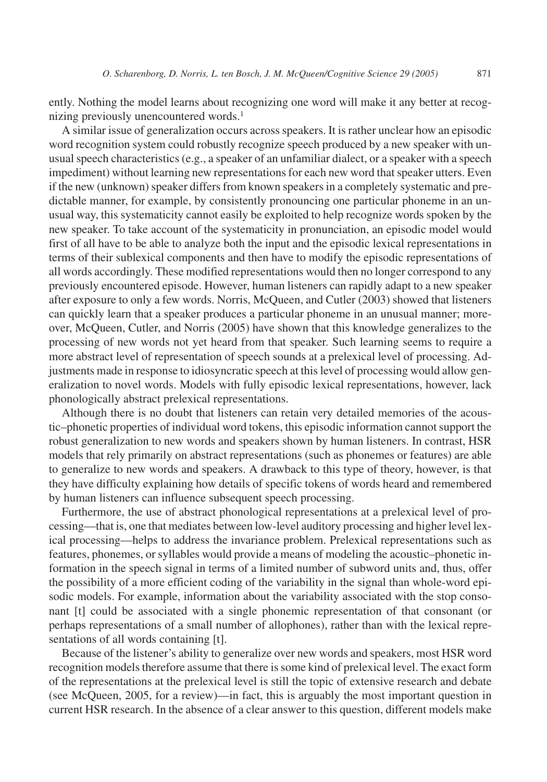ently. Nothing the model learns about recognizing one word will make it any better at recognizing previously unencountered words.<sup>1</sup>

A similar issue of generalization occurs across speakers. It is rather unclear how an episodic word recognition system could robustly recognize speech produced by a new speaker with unusual speech characteristics (e.g., a speaker of an unfamiliar dialect, or a speaker with a speech impediment) without learning new representations for each new word that speaker utters. Even if the new (unknown) speaker differs from known speakers in a completely systematic and predictable manner, for example, by consistently pronouncing one particular phoneme in an unusual way, this systematicity cannot easily be exploited to help recognize words spoken by the new speaker. To take account of the systematicity in pronunciation, an episodic model would first of all have to be able to analyze both the input and the episodic lexical representations in terms of their sublexical components and then have to modify the episodic representations of all words accordingly. These modified representations would then no longer correspond to any previously encountered episode. However, human listeners can rapidly adapt to a new speaker after exposure to only a few words. Norris, McQueen, and Cutler (2003) showed that listeners can quickly learn that a speaker produces a particular phoneme in an unusual manner; moreover, McQueen, Cutler, and Norris (2005) have shown that this knowledge generalizes to the processing of new words not yet heard from that speaker. Such learning seems to require a more abstract level of representation of speech sounds at a prelexical level of processing. Adjustments made in response to idiosyncratic speech at this level of processing would allow generalization to novel words. Models with fully episodic lexical representations, however, lack phonologically abstract prelexical representations.

Although there is no doubt that listeners can retain very detailed memories of the acoustic–phonetic properties of individual word tokens, this episodic information cannot support the robust generalization to new words and speakers shown by human listeners. In contrast, HSR models that rely primarily on abstract representations (such as phonemes or features) are able to generalize to new words and speakers. A drawback to this type of theory, however, is that they have difficulty explaining how details of specific tokens of words heard and remembered by human listeners can influence subsequent speech processing.

Furthermore, the use of abstract phonological representations at a prelexical level of processing—that is, one that mediates between low-level auditory processing and higher level lexical processing—helps to address the invariance problem. Prelexical representations such as features, phonemes, or syllables would provide a means of modeling the acoustic–phonetic information in the speech signal in terms of a limited number of subword units and, thus, offer the possibility of a more efficient coding of the variability in the signal than whole-word episodic models. For example, information about the variability associated with the stop consonant [t] could be associated with a single phonemic representation of that consonant (or perhaps representations of a small number of allophones), rather than with the lexical representations of all words containing [t].

Because of the listener's ability to generalize over new words and speakers, most HSR word recognition models therefore assume that there is some kind of prelexical level. The exact form of the representations at the prelexical level is still the topic of extensive research and debate (see McQueen, 2005, for a review)—in fact, this is arguably the most important question in current HSR research. In the absence of a clear answer to this question, different models make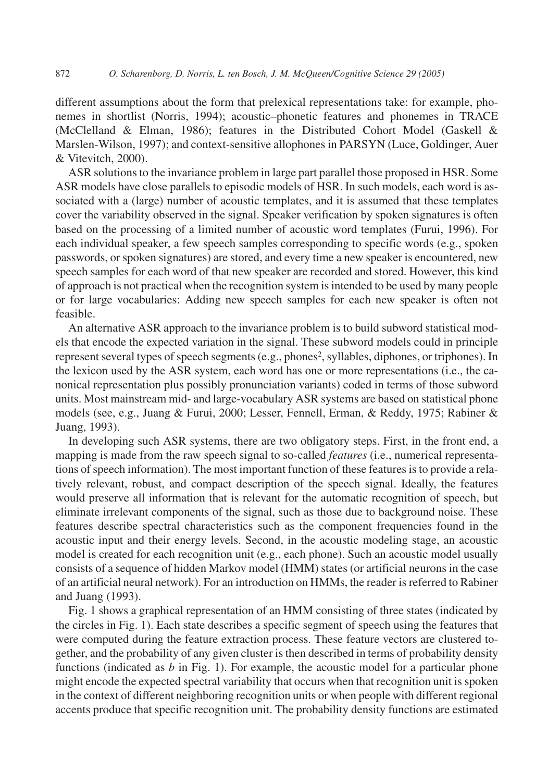different assumptions about the form that prelexical representations take: for example, phonemes in shortlist (Norris, 1994); acoustic–phonetic features and phonemes in TRACE (McClelland & Elman, 1986); features in the Distributed Cohort Model (Gaskell & Marslen-Wilson, 1997); and context-sensitive allophones in PARSYN (Luce, Goldinger, Auer & Vitevitch, 2000).

ASR solutions to the invariance problem in large part parallel those proposed in HSR. Some ASR models have close parallels to episodic models of HSR. In such models, each word is associated with a (large) number of acoustic templates, and it is assumed that these templates cover the variability observed in the signal. Speaker verification by spoken signatures is often based on the processing of a limited number of acoustic word templates (Furui, 1996). For each individual speaker, a few speech samples corresponding to specific words (e.g., spoken passwords, or spoken signatures) are stored, and every time a new speaker is encountered, new speech samples for each word of that new speaker are recorded and stored. However, this kind of approach is not practical when the recognition system is intended to be used by many people or for large vocabularies: Adding new speech samples for each new speaker is often not feasible.

An alternative ASR approach to the invariance problem is to build subword statistical models that encode the expected variation in the signal. These subword models could in principle represent several types of speech segments (e.g., phones<sup>2</sup>, syllables, diphones, or triphones). In the lexicon used by the ASR system, each word has one or more representations (i.e., the canonical representation plus possibly pronunciation variants) coded in terms of those subword units. Most mainstream mid- and large-vocabulary ASR systems are based on statistical phone models (see, e.g., Juang & Furui, 2000; Lesser, Fennell, Erman, & Reddy, 1975; Rabiner & Juang, 1993).

In developing such ASR systems, there are two obligatory steps. First, in the front end, a mapping is made from the raw speech signal to so-called *features* (i.e., numerical representations of speech information). The most important function of these features is to provide a relatively relevant, robust, and compact description of the speech signal. Ideally, the features would preserve all information that is relevant for the automatic recognition of speech, but eliminate irrelevant components of the signal, such as those due to background noise. These features describe spectral characteristics such as the component frequencies found in the acoustic input and their energy levels. Second, in the acoustic modeling stage, an acoustic model is created for each recognition unit (e.g., each phone). Such an acoustic model usually consists of a sequence of hidden Markov model (HMM) states (or artificial neurons in the case of an artificial neural network). For an introduction on HMMs, the reader is referred to Rabiner and Juang (1993).

Fig. 1 shows a graphical representation of an HMM consisting of three states (indicated by the circles in Fig. 1). Each state describes a specific segment of speech using the features that were computed during the feature extraction process. These feature vectors are clustered together, and the probability of any given cluster is then described in terms of probability density functions (indicated as *b* in Fig. 1). For example, the acoustic model for a particular phone might encode the expected spectral variability that occurs when that recognition unit is spoken in the context of different neighboring recognition units or when people with different regional accents produce that specific recognition unit. The probability density functions are estimated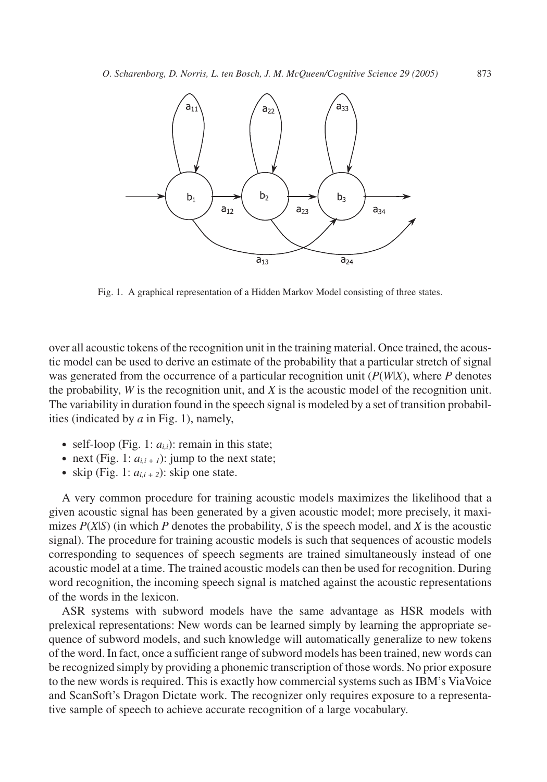

Fig. 1. A graphical representation of a Hidden Markov Model consisting of three states.

over all acoustic tokens of the recognition unit in the training material. Once trained, the acoustic model can be used to derive an estimate of the probability that a particular stretch of signal was generated from the occurrence of a particular recognition unit (*P*(*W*|*X*), where *P* denotes the probability, *W* is the recognition unit, and *X* is the acoustic model of the recognition unit. The variability in duration found in the speech signal is modeled by a set of transition probabilities (indicated by *a* in Fig. 1), namely,

- self-loop (Fig. 1:  $a_{i,i}$ ): remain in this state;
- next (Fig. 1:  $a_{i,i+1}$ ): jump to the next state;
- skip (Fig. 1:  $a_{i,i+2}$ ): skip one state.

A very common procedure for training acoustic models maximizes the likelihood that a given acoustic signal has been generated by a given acoustic model; more precisely, it maximizes  $P(X|S)$  (in which P denotes the probability, S is the speech model, and X is the acoustic signal). The procedure for training acoustic models is such that sequences of acoustic models corresponding to sequences of speech segments are trained simultaneously instead of one acoustic model at a time. The trained acoustic models can then be used for recognition. During word recognition, the incoming speech signal is matched against the acoustic representations of the words in the lexicon.

ASR systems with subword models have the same advantage as HSR models with prelexical representations: New words can be learned simply by learning the appropriate sequence of subword models, and such knowledge will automatically generalize to new tokens of the word. In fact, once a sufficient range of subword models has been trained, new words can be recognized simply by providing a phonemic transcription of those words. No prior exposure to the new words is required. This is exactly how commercial systems such as IBM's ViaVoice and ScanSoft's Dragon Dictate work. The recognizer only requires exposure to a representative sample of speech to achieve accurate recognition of a large vocabulary.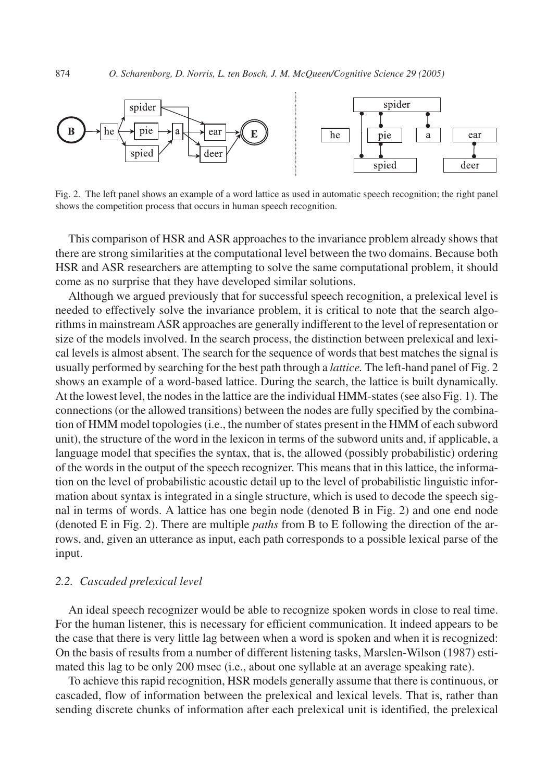

Fig. 2. The left panel shows an example of a word lattice as used in automatic speech recognition; the right panel shows the competition process that occurs in human speech recognition.

This comparison of HSR and ASR approaches to the invariance problem already shows that there are strong similarities at the computational level between the two domains. Because both HSR and ASR researchers are attempting to solve the same computational problem, it should come as no surprise that they have developed similar solutions.

Although we argued previously that for successful speech recognition, a prelexical level is needed to effectively solve the invariance problem, it is critical to note that the search algorithms in mainstream ASR approaches are generally indifferent to the level of representation or size of the models involved. In the search process, the distinction between prelexical and lexical levels is almost absent. The search for the sequence of words that best matches the signal is usually performed by searching for the best path through a *lattice.* The left-hand panel of Fig. 2 shows an example of a word-based lattice. During the search, the lattice is built dynamically. At the lowest level, the nodes in the lattice are the individual HMM-states (see also Fig. 1). The connections (or the allowed transitions) between the nodes are fully specified by the combination of HMM model topologies (i.e., the number of states present in the HMM of each subword unit), the structure of the word in the lexicon in terms of the subword units and, if applicable, a language model that specifies the syntax, that is, the allowed (possibly probabilistic) ordering of the words in the output of the speech recognizer. This means that in this lattice, the information on the level of probabilistic acoustic detail up to the level of probabilistic linguistic information about syntax is integrated in a single structure, which is used to decode the speech signal in terms of words. A lattice has one begin node (denoted B in Fig. 2) and one end node (denoted E in Fig. 2). There are multiple *paths* from B to E following the direction of the arrows, and, given an utterance as input, each path corresponds to a possible lexical parse of the input.

## *2.2. Cascaded prelexical level*

An ideal speech recognizer would be able to recognize spoken words in close to real time. For the human listener, this is necessary for efficient communication. It indeed appears to be the case that there is very little lag between when a word is spoken and when it is recognized: On the basis of results from a number of different listening tasks, Marslen-Wilson (1987) estimated this lag to be only 200 msec (i.e., about one syllable at an average speaking rate).

To achieve this rapid recognition, HSR models generally assume that there is continuous, or cascaded, flow of information between the prelexical and lexical levels. That is, rather than sending discrete chunks of information after each prelexical unit is identified, the prelexical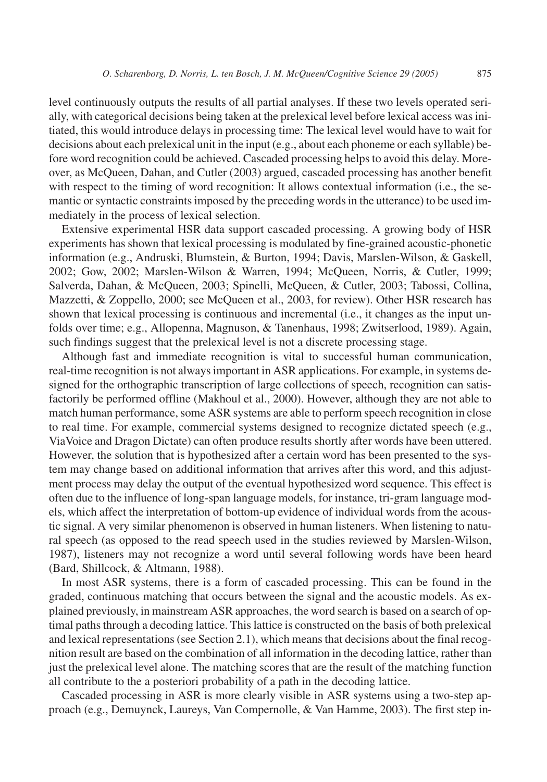level continuously outputs the results of all partial analyses. If these two levels operated serially, with categorical decisions being taken at the prelexical level before lexical access was initiated, this would introduce delays in processing time: The lexical level would have to wait for decisions about each prelexical unit in the input (e.g., about each phoneme or each syllable) before word recognition could be achieved. Cascaded processing helps to avoid this delay. Moreover, as McQueen, Dahan, and Cutler (2003) argued, cascaded processing has another benefit with respect to the timing of word recognition: It allows contextual information (i.e., the semantic or syntactic constraints imposed by the preceding words in the utterance) to be used immediately in the process of lexical selection.

Extensive experimental HSR data support cascaded processing. A growing body of HSR experiments has shown that lexical processing is modulated by fine-grained acoustic-phonetic information (e.g., Andruski, Blumstein, & Burton, 1994; Davis, Marslen-Wilson, & Gaskell, 2002; Gow, 2002; Marslen-Wilson & Warren, 1994; McQueen, Norris, & Cutler, 1999; Salverda, Dahan, & McQueen, 2003; Spinelli, McQueen, & Cutler, 2003; Tabossi, Collina, Mazzetti, & Zoppello, 2000; see McQueen et al., 2003, for review). Other HSR research has shown that lexical processing is continuous and incremental (i.e., it changes as the input unfolds over time; e.g., Allopenna, Magnuson, & Tanenhaus, 1998; Zwitserlood, 1989). Again, such findings suggest that the prelexical level is not a discrete processing stage.

Although fast and immediate recognition is vital to successful human communication, real-time recognition is not always important in ASR applications. For example, in systems designed for the orthographic transcription of large collections of speech, recognition can satisfactorily be performed offline (Makhoul et al., 2000). However, although they are not able to match human performance, some ASR systems are able to perform speech recognition in close to real time. For example, commercial systems designed to recognize dictated speech (e.g., ViaVoice and Dragon Dictate) can often produce results shortly after words have been uttered. However, the solution that is hypothesized after a certain word has been presented to the system may change based on additional information that arrives after this word, and this adjustment process may delay the output of the eventual hypothesized word sequence. This effect is often due to the influence of long-span language models, for instance, tri-gram language models, which affect the interpretation of bottom-up evidence of individual words from the acoustic signal. A very similar phenomenon is observed in human listeners. When listening to natural speech (as opposed to the read speech used in the studies reviewed by Marslen-Wilson, 1987), listeners may not recognize a word until several following words have been heard (Bard, Shillcock, & Altmann, 1988).

In most ASR systems, there is a form of cascaded processing. This can be found in the graded, continuous matching that occurs between the signal and the acoustic models. As explained previously, in mainstream ASR approaches, the word search is based on a search of optimal paths through a decoding lattice. This lattice is constructed on the basis of both prelexical and lexical representations (see Section 2.1), which means that decisions about the final recognition result are based on the combination of all information in the decoding lattice, rather than just the prelexical level alone. The matching scores that are the result of the matching function all contribute to the a posteriori probability of a path in the decoding lattice.

Cascaded processing in ASR is more clearly visible in ASR systems using a two-step approach (e.g., Demuynck, Laureys, Van Compernolle, & Van Hamme, 2003). The first step in-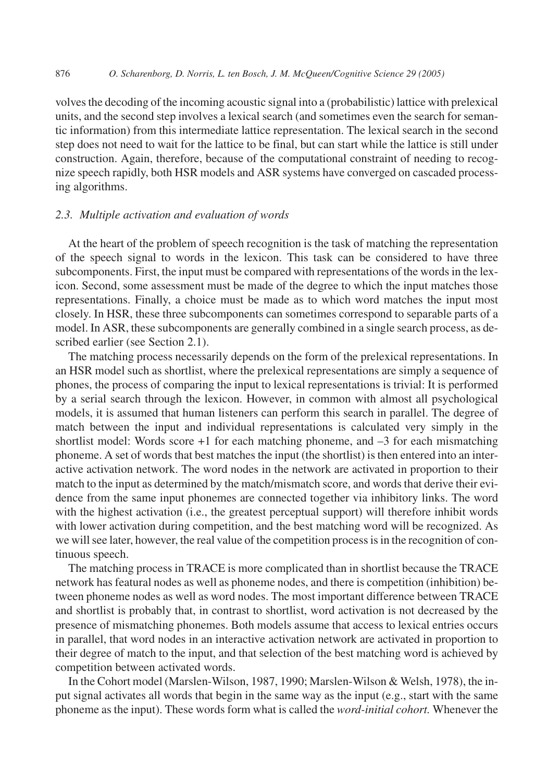volves the decoding of the incoming acoustic signal into a (probabilistic) lattice with prelexical units, and the second step involves a lexical search (and sometimes even the search for semantic information) from this intermediate lattice representation. The lexical search in the second step does not need to wait for the lattice to be final, but can start while the lattice is still under construction. Again, therefore, because of the computational constraint of needing to recognize speech rapidly, both HSR models and ASR systems have converged on cascaded processing algorithms.

#### *2.3. Multiple activation and evaluation of words*

At the heart of the problem of speech recognition is the task of matching the representation of the speech signal to words in the lexicon. This task can be considered to have three subcomponents. First, the input must be compared with representations of the words in the lexicon. Second, some assessment must be made of the degree to which the input matches those representations. Finally, a choice must be made as to which word matches the input most closely. In HSR, these three subcomponents can sometimes correspond to separable parts of a model. In ASR, these subcomponents are generally combined in a single search process, as described earlier (see Section 2.1).

The matching process necessarily depends on the form of the prelexical representations. In an HSR model such as shortlist, where the prelexical representations are simply a sequence of phones, the process of comparing the input to lexical representations is trivial: It is performed by a serial search through the lexicon. However, in common with almost all psychological models, it is assumed that human listeners can perform this search in parallel. The degree of match between the input and individual representations is calculated very simply in the shortlist model: Words score  $+1$  for each matching phoneme, and  $-3$  for each mismatching phoneme. A set of words that best matches the input (the shortlist) is then entered into an interactive activation network. The word nodes in the network are activated in proportion to their match to the input as determined by the match/mismatch score, and words that derive their evidence from the same input phonemes are connected together via inhibitory links. The word with the highest activation (i.e., the greatest perceptual support) will therefore inhibit words with lower activation during competition, and the best matching word will be recognized. As we will see later, however, the real value of the competition process is in the recognition of continuous speech.

The matching process in TRACE is more complicated than in shortlist because the TRACE network has featural nodes as well as phoneme nodes, and there is competition (inhibition) between phoneme nodes as well as word nodes. The most important difference between TRACE and shortlist is probably that, in contrast to shortlist, word activation is not decreased by the presence of mismatching phonemes. Both models assume that access to lexical entries occurs in parallel, that word nodes in an interactive activation network are activated in proportion to their degree of match to the input, and that selection of the best matching word is achieved by competition between activated words.

In the Cohort model (Marslen-Wilson, 1987, 1990; Marslen-Wilson & Welsh, 1978), the input signal activates all words that begin in the same way as the input (e.g., start with the same phoneme as the input). These words form what is called the *word-initial cohort.* Whenever the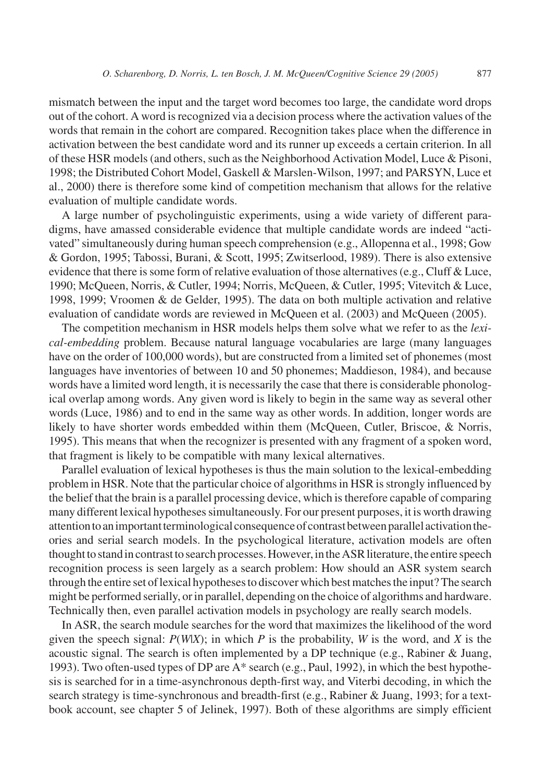mismatch between the input and the target word becomes too large, the candidate word drops out of the cohort. A word is recognized via a decision process where the activation values of the words that remain in the cohort are compared. Recognition takes place when the difference in activation between the best candidate word and its runner up exceeds a certain criterion. In all of these HSR models (and others, such as the Neighborhood Activation Model, Luce & Pisoni, 1998; the Distributed Cohort Model, Gaskell & Marslen-Wilson, 1997; and PARSYN, Luce et al., 2000) there is therefore some kind of competition mechanism that allows for the relative evaluation of multiple candidate words.

A large number of psycholinguistic experiments, using a wide variety of different paradigms, have amassed considerable evidence that multiple candidate words are indeed "activated" simultaneously during human speech comprehension (e.g., Allopenna et al., 1998; Gow & Gordon, 1995; Tabossi, Burani, & Scott, 1995; Zwitserlood, 1989). There is also extensive evidence that there is some form of relative evaluation of those alternatives (e.g., Cluff  $&$  Luce, 1990; McQueen, Norris, & Cutler, 1994; Norris, McQueen, & Cutler, 1995; Vitevitch & Luce, 1998, 1999; Vroomen & de Gelder, 1995). The data on both multiple activation and relative evaluation of candidate words are reviewed in McQueen et al. (2003) and McQueen (2005).

The competition mechanism in HSR models helps them solve what we refer to as the *lexical-embedding* problem. Because natural language vocabularies are large (many languages have on the order of 100,000 words), but are constructed from a limited set of phonemes (most languages have inventories of between 10 and 50 phonemes; Maddieson, 1984), and because words have a limited word length, it is necessarily the case that there is considerable phonological overlap among words. Any given word is likely to begin in the same way as several other words (Luce, 1986) and to end in the same way as other words. In addition, longer words are likely to have shorter words embedded within them (McQueen, Cutler, Briscoe, & Norris, 1995). This means that when the recognizer is presented with any fragment of a spoken word, that fragment is likely to be compatible with many lexical alternatives.

Parallel evaluation of lexical hypotheses is thus the main solution to the lexical-embedding problem in HSR. Note that the particular choice of algorithms in HSR is strongly influenced by the belief that the brain is a parallel processing device, which is therefore capable of comparing many different lexical hypotheses simultaneously. For our present purposes, it is worth drawing attention to an important terminological consequence of contrast between parallel activation theories and serial search models. In the psychological literature, activation models are often thought to stand in contrast to search processes. However, in the ASR literature, the entire speech recognition process is seen largely as a search problem: How should an ASR system search through the entire set of lexical hypotheses to discover which best matches the input? The search might be performed serially, or in parallel, depending on the choice of algorithms and hardware. Technically then, even parallel activation models in psychology are really search models.

In ASR, the search module searches for the word that maximizes the likelihood of the word given the speech signal:  $P(W|X)$ ; in which  $P$  is the probability,  $W$  is the word, and  $X$  is the acoustic signal. The search is often implemented by a DP technique (e.g., Rabiner & Juang, 1993). Two often-used types of DP are A\* search (e.g., Paul, 1992), in which the best hypothesis is searched for in a time-asynchronous depth-first way, and Viterbi decoding, in which the search strategy is time-synchronous and breadth-first (e.g., Rabiner & Juang, 1993; for a textbook account, see chapter 5 of Jelinek, 1997). Both of these algorithms are simply efficient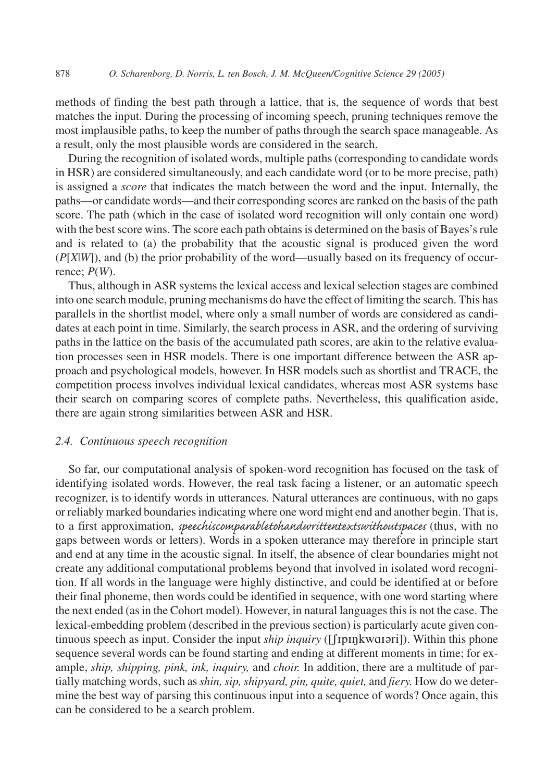methods of finding the best path through a lattice, that is, the sequence of words that best matches the input. During the processing of incoming speech, pruning techniques remove the most implausible paths, to keep the number of paths through the search space manageable. As a result, only the most plausible words are considered in the search.

During the recognition of isolated words, multiple paths (corresponding to candidate words in HSR) are considered simultaneously, and each candidate word (or to be more precise, path) is assigned a *score* that indicates the match between the word and the input. Internally, the paths—or candidate words—and their corresponding scores are ranked on the basis of the path score. The path (which in the case of isolated word recognition will only contain one word) with the best score wins. The score each path obtains is determined on the basis of Bayes's rule and is related to (a) the probability that the acoustic signal is produced given the word (*P*[*X*|*W*]), and (b) the prior probability of the word—usually based on its frequency of occurrence; *P*(*W*).

Thus, although in ASR systems the lexical access and lexical selection stages are combined into one search module, pruning mechanisms do have the effect of limiting the search. This has parallels in the shortlist model, where only a small number of words are considered as candidates at each point in time. Similarly, the search process in ASR, and the ordering of surviving paths in the lattice on the basis of the accumulated path scores, are akin to the relative evaluation processes seen in HSR models. There is one important difference between the ASR approach and psychological models, however. In HSR models such as shortlist and TRACE, the competition process involves individual lexical candidates, whereas most ASR systems base their search on comparing scores of complete paths. Nevertheless, this qualification aside, there are again strong similarities between ASR and HSR.

## *2.4. Continuous speech recognition*

So far, our computational analysis of spoken-word recognition has focused on the task of identifying isolated words. However, the real task facing a listener, or an automatic speech recognizer, is to identify words in utterances. Natural utterances are continuous, with no gaps or reliably marked boundaries indicating where one word might end and another begin. That is, to a first approximation, *speechiscomparabletohandwrittentextswithoutspaces* (thus, with no gaps between words or letters). Words in a spoken utterance may therefore in principle start and end at any time in the acoustic signal. In itself, the absence of clear boundaries might not create any additional computational problems beyond that involved in isolated word recognition. If all words in the language were highly distinctive, and could be identified at or before their final phoneme, then words could be identified in sequence, with one word starting where the next ended (as in the Cohort model). However, in natural languages this is not the case. The lexical-embedding problem (described in the previous section) is particularly acute given continuous speech as input. Consider the input *ship inquiry* ([fipingkwaiari]). Within this phone sequence several words can be found starting and ending at different moments in time; for example, *ship, shipping, pink, ink, inquiry,* and *choir.* In addition, there are a multitude of partially matching words, such as*shin, sip, shipyard, pin, quite, quiet,* and *fiery.* How do we determine the best way of parsing this continuous input into a sequence of words? Once again, this can be considered to be a search problem.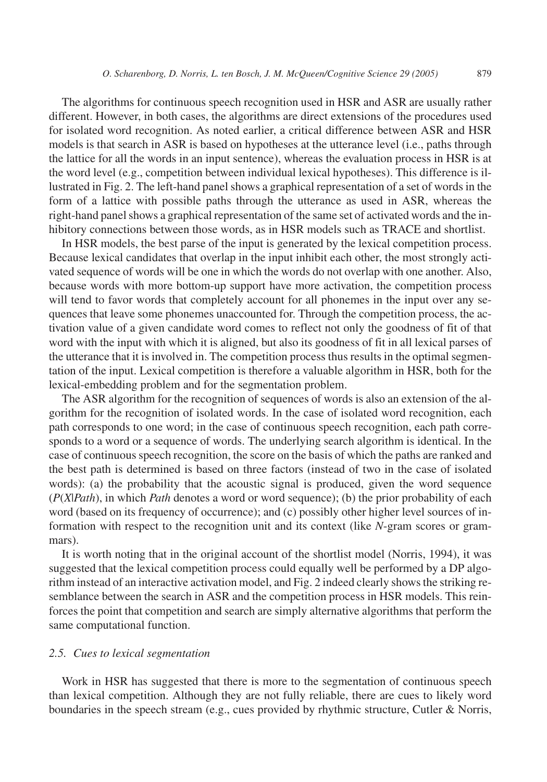The algorithms for continuous speech recognition used in HSR and ASR are usually rather different. However, in both cases, the algorithms are direct extensions of the procedures used for isolated word recognition. As noted earlier, a critical difference between ASR and HSR models is that search in ASR is based on hypotheses at the utterance level (i.e., paths through the lattice for all the words in an input sentence), whereas the evaluation process in HSR is at the word level (e.g., competition between individual lexical hypotheses). This difference is illustrated in Fig. 2. The left-hand panel shows a graphical representation of a set of words in the form of a lattice with possible paths through the utterance as used in ASR, whereas the right-hand panel shows a graphical representation of the same set of activated words and the inhibitory connections between those words, as in HSR models such as TRACE and shortlist.

In HSR models, the best parse of the input is generated by the lexical competition process. Because lexical candidates that overlap in the input inhibit each other, the most strongly activated sequence of words will be one in which the words do not overlap with one another. Also, because words with more bottom-up support have more activation, the competition process will tend to favor words that completely account for all phonemes in the input over any sequences that leave some phonemes unaccounted for. Through the competition process, the activation value of a given candidate word comes to reflect not only the goodness of fit of that word with the input with which it is aligned, but also its goodness of fit in all lexical parses of the utterance that it is involved in. The competition process thus results in the optimal segmentation of the input. Lexical competition is therefore a valuable algorithm in HSR, both for the lexical-embedding problem and for the segmentation problem.

The ASR algorithm for the recognition of sequences of words is also an extension of the algorithm for the recognition of isolated words. In the case of isolated word recognition, each path corresponds to one word; in the case of continuous speech recognition, each path corresponds to a word or a sequence of words. The underlying search algorithm is identical. In the case of continuous speech recognition, the score on the basis of which the paths are ranked and the best path is determined is based on three factors (instead of two in the case of isolated words): (a) the probability that the acoustic signal is produced, given the word sequence (*P*(*X*|*Path*), in which *Path* denotes a word or word sequence); (b) the prior probability of each word (based on its frequency of occurrence); and (c) possibly other higher level sources of information with respect to the recognition unit and its context (like *N*-gram scores or grammars).

It is worth noting that in the original account of the shortlist model (Norris, 1994), it was suggested that the lexical competition process could equally well be performed by a DP algorithm instead of an interactive activation model, and Fig. 2 indeed clearly shows the striking resemblance between the search in ASR and the competition process in HSR models. This reinforces the point that competition and search are simply alternative algorithms that perform the same computational function.

## *2.5. Cues to lexical segmentation*

Work in HSR has suggested that there is more to the segmentation of continuous speech than lexical competition. Although they are not fully reliable, there are cues to likely word boundaries in the speech stream (e.g., cues provided by rhythmic structure, Cutler & Norris,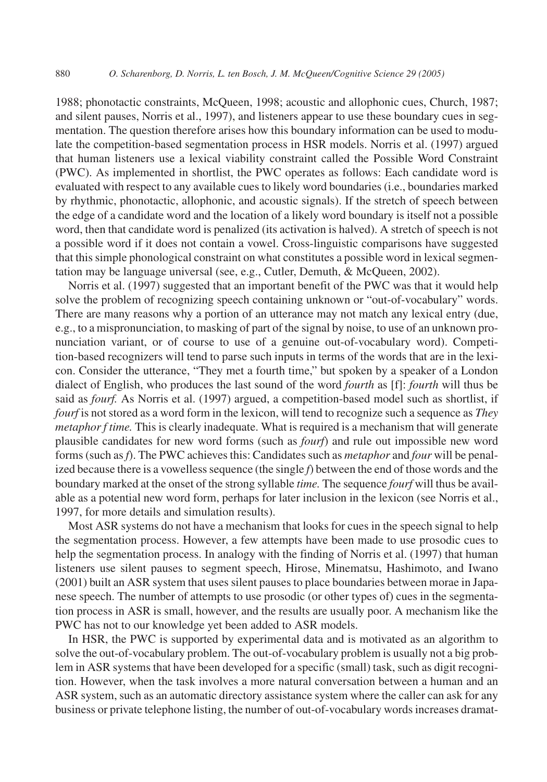1988; phonotactic constraints, McQueen, 1998; acoustic and allophonic cues, Church, 1987; and silent pauses, Norris et al., 1997), and listeners appear to use these boundary cues in segmentation. The question therefore arises how this boundary information can be used to modulate the competition-based segmentation process in HSR models. Norris et al. (1997) argued that human listeners use a lexical viability constraint called the Possible Word Constraint (PWC). As implemented in shortlist, the PWC operates as follows: Each candidate word is evaluated with respect to any available cues to likely word boundaries (i.e., boundaries marked by rhythmic, phonotactic, allophonic, and acoustic signals). If the stretch of speech between the edge of a candidate word and the location of a likely word boundary is itself not a possible word, then that candidate word is penalized (its activation is halved). A stretch of speech is not a possible word if it does not contain a vowel. Cross-linguistic comparisons have suggested that this simple phonological constraint on what constitutes a possible word in lexical segmentation may be language universal (see, e.g., Cutler, Demuth, & McQueen, 2002).

Norris et al. (1997) suggested that an important benefit of the PWC was that it would help solve the problem of recognizing speech containing unknown or "out-of-vocabulary" words. There are many reasons why a portion of an utterance may not match any lexical entry (due, e.g., to a mispronunciation, to masking of part of the signal by noise, to use of an unknown pronunciation variant, or of course to use of a genuine out-of-vocabulary word). Competition-based recognizers will tend to parse such inputs in terms of the words that are in the lexicon. Consider the utterance, "They met a fourth time," but spoken by a speaker of a London dialect of English, who produces the last sound of the word *fourth* as [f]: *fourth* will thus be said as *fourf.* As Norris et al. (1997) argued, a competition-based model such as shortlist, if *fourf* is not stored as a word form in the lexicon, will tend to recognize such a sequence as *They metaphor f time.* This is clearly inadequate. What is required is a mechanism that will generate plausible candidates for new word forms (such as *fourf*) and rule out impossible new word forms (such as*f*). The PWC achieves this: Candidates such as *metaphor* and *four* will be penalized because there is a vowelless sequence (the single *f*) between the end of those words and the boundary marked at the onset of the strong syllable *time.* The sequence *fourf* will thus be available as a potential new word form, perhaps for later inclusion in the lexicon (see Norris et al., 1997, for more details and simulation results).

Most ASR systems do not have a mechanism that looks for cues in the speech signal to help the segmentation process. However, a few attempts have been made to use prosodic cues to help the segmentation process. In analogy with the finding of Norris et al. (1997) that human listeners use silent pauses to segment speech, Hirose, Minematsu, Hashimoto, and Iwano (2001) built an ASR system that uses silent pauses to place boundaries between morae in Japanese speech. The number of attempts to use prosodic (or other types of) cues in the segmentation process in ASR is small, however, and the results are usually poor. A mechanism like the PWC has not to our knowledge yet been added to ASR models.

In HSR, the PWC is supported by experimental data and is motivated as an algorithm to solve the out-of-vocabulary problem. The out-of-vocabulary problem is usually not a big problem in ASR systems that have been developed for a specific (small) task, such as digit recognition. However, when the task involves a more natural conversation between a human and an ASR system, such as an automatic directory assistance system where the caller can ask for any business or private telephone listing, the number of out-of-vocabulary words increases dramat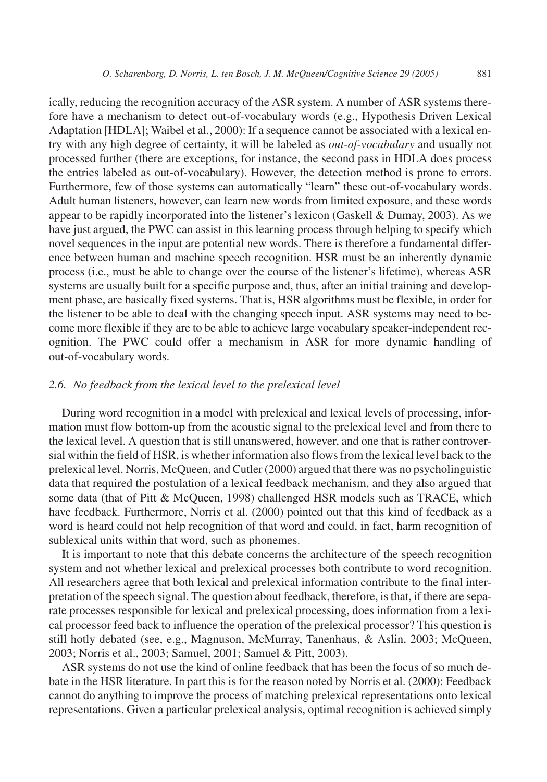ically, reducing the recognition accuracy of the ASR system. A number of ASR systems therefore have a mechanism to detect out-of-vocabulary words (e.g., Hypothesis Driven Lexical Adaptation [HDLA]; Waibel et al., 2000): If a sequence cannot be associated with a lexical entry with any high degree of certainty, it will be labeled as *out-of-vocabulary* and usually not processed further (there are exceptions, for instance, the second pass in HDLA does process the entries labeled as out-of-vocabulary). However, the detection method is prone to errors. Furthermore, few of those systems can automatically "learn" these out-of-vocabulary words. Adult human listeners, however, can learn new words from limited exposure, and these words appear to be rapidly incorporated into the listener's lexicon (Gaskell & Dumay, 2003). As we have just argued, the PWC can assist in this learning process through helping to specify which novel sequences in the input are potential new words. There is therefore a fundamental difference between human and machine speech recognition. HSR must be an inherently dynamic process (i.e., must be able to change over the course of the listener's lifetime), whereas ASR systems are usually built for a specific purpose and, thus, after an initial training and development phase, are basically fixed systems. That is, HSR algorithms must be flexible, in order for the listener to be able to deal with the changing speech input. ASR systems may need to become more flexible if they are to be able to achieve large vocabulary speaker-independent recognition. The PWC could offer a mechanism in ASR for more dynamic handling of out-of-vocabulary words.

## *2.6. No feedback from the lexical level to the prelexical level*

During word recognition in a model with prelexical and lexical levels of processing, information must flow bottom-up from the acoustic signal to the prelexical level and from there to the lexical level. A question that is still unanswered, however, and one that is rather controversial within the field of HSR, is whether information also flows from the lexical level back to the prelexical level. Norris, McQueen, and Cutler (2000) argued that there was no psycholinguistic data that required the postulation of a lexical feedback mechanism, and they also argued that some data (that of Pitt & McQueen, 1998) challenged HSR models such as TRACE, which have feedback. Furthermore, Norris et al. (2000) pointed out that this kind of feedback as a word is heard could not help recognition of that word and could, in fact, harm recognition of sublexical units within that word, such as phonemes.

It is important to note that this debate concerns the architecture of the speech recognition system and not whether lexical and prelexical processes both contribute to word recognition. All researchers agree that both lexical and prelexical information contribute to the final interpretation of the speech signal. The question about feedback, therefore, is that, if there are separate processes responsible for lexical and prelexical processing, does information from a lexical processor feed back to influence the operation of the prelexical processor? This question is still hotly debated (see, e.g., Magnuson, McMurray, Tanenhaus, & Aslin, 2003; McQueen, 2003; Norris et al., 2003; Samuel, 2001; Samuel & Pitt, 2003).

ASR systems do not use the kind of online feedback that has been the focus of so much debate in the HSR literature. In part this is for the reason noted by Norris et al. (2000): Feedback cannot do anything to improve the process of matching prelexical representations onto lexical representations. Given a particular prelexical analysis, optimal recognition is achieved simply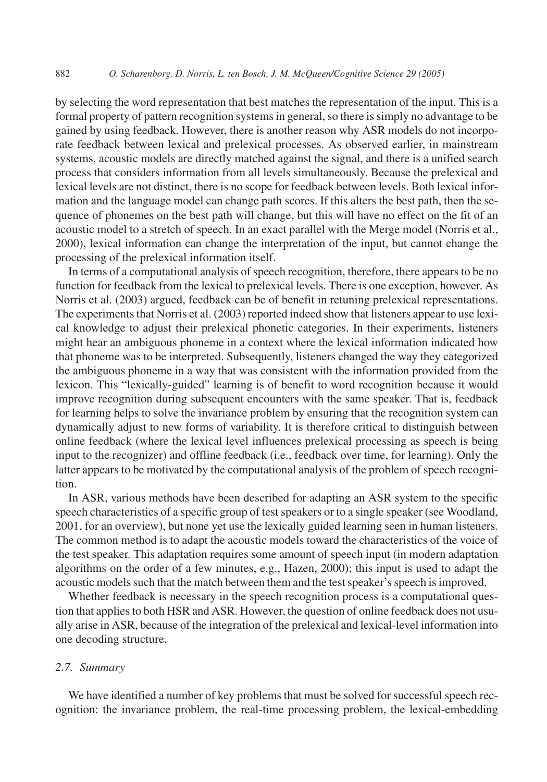by selecting the word representation that best matches the representation of the input. This is a formal property of pattern recognition systems in general, so there is simply no advantage to be gained by using feedback. However, there is another reason why ASR models do not incorporate feedback between lexical and prelexical processes. As observed earlier, in mainstream systems, acoustic models are directly matched against the signal, and there is a unified search process that considers information from all levels simultaneously. Because the prelexical and lexical levels are not distinct, there is no scope for feedback between levels. Both lexical information and the language model can change path scores. If this alters the best path, then the sequence of phonemes on the best path will change, but this will have no effect on the fit of an acoustic model to a stretch of speech. In an exact parallel with the Merge model (Norris et al., 2000), lexical information can change the interpretation of the input, but cannot change the processing of the prelexical information itself.

In terms of a computational analysis of speech recognition, therefore, there appears to be no function for feedback from the lexical to prelexical levels. There is one exception, however. As Norris et al. (2003) argued, feedback can be of benefit in retuning prelexical representations. The experiments that Norris et al. (2003) reported indeed show that listeners appear to use lexical knowledge to adjust their prelexical phonetic categories. In their experiments, listeners might hear an ambiguous phoneme in a context where the lexical information indicated how that phoneme was to be interpreted. Subsequently, listeners changed the way they categorized the ambiguous phoneme in a way that was consistent with the information provided from the lexicon. This "lexically-guided" learning is of benefit to word recognition because it would improve recognition during subsequent encounters with the same speaker. That is, feedback for learning helps to solve the invariance problem by ensuring that the recognition system can dynamically adjust to new forms of variability. It is therefore critical to distinguish between online feedback (where the lexical level influences prelexical processing as speech is being input to the recognizer) and offline feedback (i.e., feedback over time, for learning). Only the latter appears to be motivated by the computational analysis of the problem of speech recognition.

In ASR, various methods have been described for adapting an ASR system to the specific speech characteristics of a specific group of test speakers or to a single speaker (see Woodland, 2001, for an overview), but none yet use the lexically guided learning seen in human listeners. The common method is to adapt the acoustic models toward the characteristics of the voice of the test speaker. This adaptation requires some amount of speech input (in modern adaptation algorithms on the order of a few minutes, e.g., Hazen, 2000); this input is used to adapt the acoustic models such that the match between them and the test speaker's speech is improved.

Whether feedback is necessary in the speech recognition process is a computational question that applies to both HSR and ASR. However, the question of online feedback does not usually arise in ASR, because of the integration of the prelexical and lexical-level information into one decoding structure.

## *2.7. Summary*

We have identified a number of key problems that must be solved for successful speech recognition: the invariance problem, the real-time processing problem, the lexical-embedding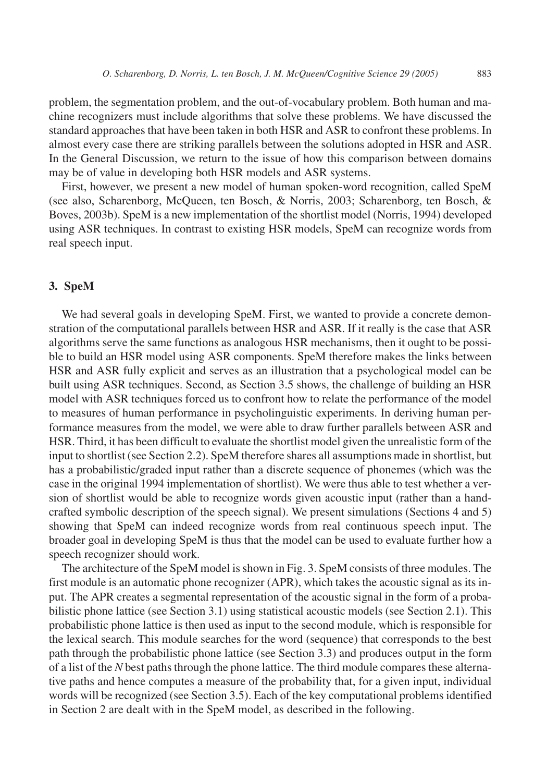problem, the segmentation problem, and the out-of-vocabulary problem. Both human and machine recognizers must include algorithms that solve these problems. We have discussed the standard approaches that have been taken in both HSR and ASR to confront these problems. In almost every case there are striking parallels between the solutions adopted in HSR and ASR. In the General Discussion, we return to the issue of how this comparison between domains may be of value in developing both HSR models and ASR systems.

First, however, we present a new model of human spoken-word recognition, called SpeM (see also, Scharenborg, McQueen, ten Bosch, & Norris, 2003; Scharenborg, ten Bosch, & Boves, 2003b). SpeM is a new implementation of the shortlist model (Norris, 1994) developed using ASR techniques. In contrast to existing HSR models, SpeM can recognize words from real speech input.

## **3. SpeM**

We had several goals in developing SpeM. First, we wanted to provide a concrete demonstration of the computational parallels between HSR and ASR. If it really is the case that ASR algorithms serve the same functions as analogous HSR mechanisms, then it ought to be possible to build an HSR model using ASR components. SpeM therefore makes the links between HSR and ASR fully explicit and serves as an illustration that a psychological model can be built using ASR techniques. Second, as Section 3.5 shows, the challenge of building an HSR model with ASR techniques forced us to confront how to relate the performance of the model to measures of human performance in psycholinguistic experiments. In deriving human performance measures from the model, we were able to draw further parallels between ASR and HSR. Third, it has been difficult to evaluate the shortlist model given the unrealistic form of the input to shortlist (see Section 2.2). SpeM therefore shares all assumptions made in shortlist, but has a probabilistic/graded input rather than a discrete sequence of phonemes (which was the case in the original 1994 implementation of shortlist). We were thus able to test whether a version of shortlist would be able to recognize words given acoustic input (rather than a handcrafted symbolic description of the speech signal). We present simulations (Sections 4 and 5) showing that SpeM can indeed recognize words from real continuous speech input. The broader goal in developing SpeM is thus that the model can be used to evaluate further how a speech recognizer should work.

The architecture of the SpeM model is shown in Fig. 3. SpeM consists of three modules. The first module is an automatic phone recognizer (APR), which takes the acoustic signal as its input. The APR creates a segmental representation of the acoustic signal in the form of a probabilistic phone lattice (see Section 3.1) using statistical acoustic models (see Section 2.1). This probabilistic phone lattice is then used as input to the second module, which is responsible for the lexical search. This module searches for the word (sequence) that corresponds to the best path through the probabilistic phone lattice (see Section 3.3) and produces output in the form of a list of the *N* best paths through the phone lattice. The third module compares these alternative paths and hence computes a measure of the probability that, for a given input, individual words will be recognized (see Section 3.5). Each of the key computational problems identified in Section 2 are dealt with in the SpeM model, as described in the following.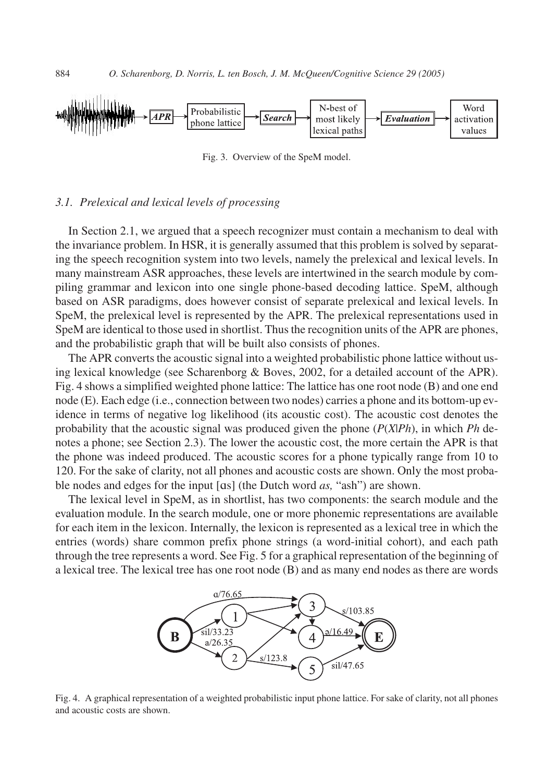

Fig. 3. Overview of the SpeM model.

#### *3.1. Prelexical and lexical levels of processing*

In Section 2.1, we argued that a speech recognizer must contain a mechanism to deal with the invariance problem. In HSR, it is generally assumed that this problem is solved by separating the speech recognition system into two levels, namely the prelexical and lexical levels. In many mainstream ASR approaches, these levels are intertwined in the search module by compiling grammar and lexicon into one single phone-based decoding lattice. SpeM, although based on ASR paradigms, does however consist of separate prelexical and lexical levels. In SpeM, the prelexical level is represented by the APR. The prelexical representations used in SpeM are identical to those used in shortlist. Thus the recognition units of the APR are phones, and the probabilistic graph that will be built also consists of phones.

The APR converts the acoustic signal into a weighted probabilistic phone lattice without using lexical knowledge (see Scharenborg & Boves, 2002, for a detailed account of the APR). Fig. 4 shows a simplified weighted phone lattice: The lattice has one root node (B) and one end node (E). Each edge (i.e., connection between two nodes) carries a phone and its bottom-up evidence in terms of negative log likelihood (its acoustic cost). The acoustic cost denotes the probability that the acoustic signal was produced given the phone (*P*(*X*|*Ph*), in which *Ph* denotes a phone; see Section 2.3). The lower the acoustic cost, the more certain the APR is that the phone was indeed produced. The acoustic scores for a phone typically range from 10 to 120. For the sake of clarity, not all phones and acoustic costs are shown. Only the most probable nodes and edges for the input [ɑs] (the Dutch word *as,* "ash") are shown.

The lexical level in SpeM, as in shortlist, has two components: the search module and the evaluation module. In the search module, one or more phonemic representations are available for each item in the lexicon. Internally, the lexicon is represented as a lexical tree in which the entries (words) share common prefix phone strings (a word-initial cohort), and each path through the tree represents a word. See Fig. 5 for a graphical representation of the beginning of a lexical tree. The lexical tree has one root node (B) and as many end nodes as there are words



Fig. 4. A graphical representation of a weighted probabilistic input phone lattice. For sake of clarity, not all phones and acoustic costs are shown.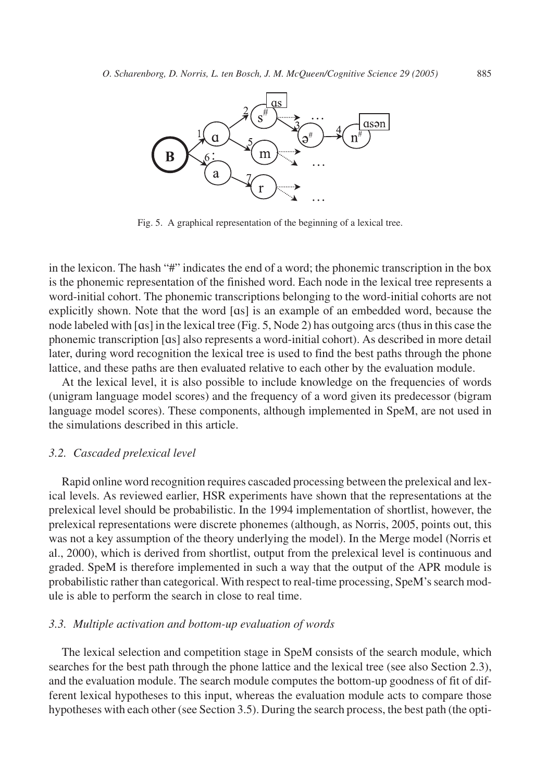

Fig. 5. A graphical representation of the beginning of a lexical tree.

in the lexicon. The hash "#" indicates the end of a word; the phonemic transcription in the box is the phonemic representation of the finished word. Each node in the lexical tree represents a word-initial cohort. The phonemic transcriptions belonging to the word-initial cohorts are not explicitly shown. Note that the word [ɑs] is an example of an embedded word, because the node labeled with [ɑs] in the lexical tree (Fig. 5, Node 2) has outgoing arcs (thus in this case the phonemic transcription [ɑs] also represents a word-initial cohort). As described in more detail later, during word recognition the lexical tree is used to find the best paths through the phone lattice, and these paths are then evaluated relative to each other by the evaluation module.

At the lexical level, it is also possible to include knowledge on the frequencies of words (unigram language model scores) and the frequency of a word given its predecessor (bigram language model scores). These components, although implemented in SpeM, are not used in the simulations described in this article.

#### *3.2. Cascaded prelexical level*

Rapid online word recognition requires cascaded processing between the prelexical and lexical levels. As reviewed earlier, HSR experiments have shown that the representations at the prelexical level should be probabilistic. In the 1994 implementation of shortlist, however, the prelexical representations were discrete phonemes (although, as Norris, 2005, points out, this was not a key assumption of the theory underlying the model). In the Merge model (Norris et al., 2000), which is derived from shortlist, output from the prelexical level is continuous and graded. SpeM is therefore implemented in such a way that the output of the APR module is probabilistic rather than categorical. With respect to real-time processing, SpeM's search module is able to perform the search in close to real time.

# *3.3. Multiple activation and bottom-up evaluation of words*

The lexical selection and competition stage in SpeM consists of the search module, which searches for the best path through the phone lattice and the lexical tree (see also Section 2.3), and the evaluation module. The search module computes the bottom-up goodness of fit of different lexical hypotheses to this input, whereas the evaluation module acts to compare those hypotheses with each other (see Section 3.5). During the search process, the best path (the opti-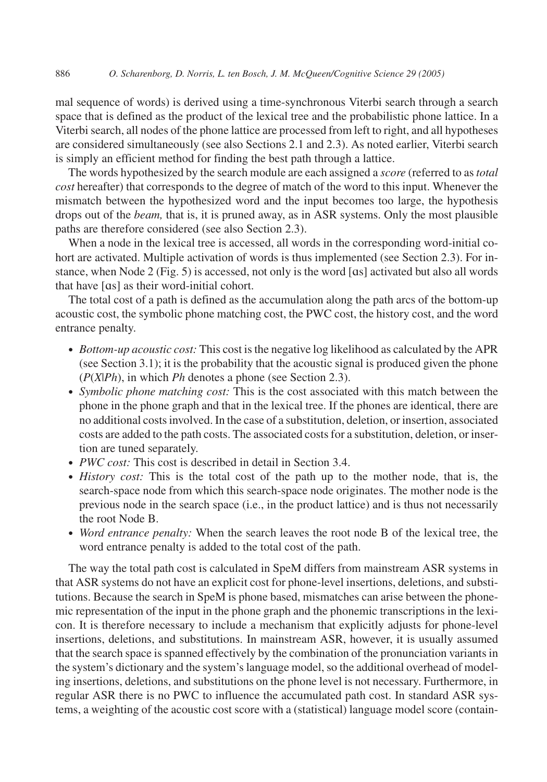mal sequence of words) is derived using a time-synchronous Viterbi search through a search space that is defined as the product of the lexical tree and the probabilistic phone lattice. In a Viterbi search, all nodes of the phone lattice are processed from left to right, and all hypotheses are considered simultaneously (see also Sections 2.1 and 2.3). As noted earlier, Viterbi search is simply an efficient method for finding the best path through a lattice.

The words hypothesized by the search module are each assigned a *score* (referred to as *total cost* hereafter) that corresponds to the degree of match of the word to this input. Whenever the mismatch between the hypothesized word and the input becomes too large, the hypothesis drops out of the *beam,* that is, it is pruned away, as in ASR systems. Only the most plausible paths are therefore considered (see also Section 2.3).

When a node in the lexical tree is accessed, all words in the corresponding word-initial cohort are activated. Multiple activation of words is thus implemented (see Section 2.3). For instance, when Node 2 (Fig. 5) is accessed, not only is the word [ɑs] activated but also all words that have [ɑs] as their word-initial cohort.

The total cost of a path is defined as the accumulation along the path arcs of the bottom-up acoustic cost, the symbolic phone matching cost, the PWC cost, the history cost, and the word entrance penalty.

- *Bottom-up acoustic cost:* This cost is the negative log likelihood as calculated by the APR (see Section 3.1); it is the probability that the acoustic signal is produced given the phone (*P*(*X*|*Ph*), in which *Ph* denotes a phone (see Section 2.3).
- *Symbolic phone matching cost:* This is the cost associated with this match between the phone in the phone graph and that in the lexical tree. If the phones are identical, there are no additional costs involved. In the case of a substitution, deletion, or insertion, associated costs are added to the path costs. The associated costs for a substitution, deletion, or insertion are tuned separately.
- *PWC cost:* This cost is described in detail in Section 3.4.
- *History cost:* This is the total cost of the path up to the mother node, that is, the search-space node from which this search-space node originates. The mother node is the previous node in the search space (i.e., in the product lattice) and is thus not necessarily the root Node B.
- *Word entrance penalty:* When the search leaves the root node B of the lexical tree, the word entrance penalty is added to the total cost of the path.

The way the total path cost is calculated in SpeM differs from mainstream ASR systems in that ASR systems do not have an explicit cost for phone-level insertions, deletions, and substitutions. Because the search in SpeM is phone based, mismatches can arise between the phonemic representation of the input in the phone graph and the phonemic transcriptions in the lexicon. It is therefore necessary to include a mechanism that explicitly adjusts for phone-level insertions, deletions, and substitutions. In mainstream ASR, however, it is usually assumed that the search space is spanned effectively by the combination of the pronunciation variants in the system's dictionary and the system's language model, so the additional overhead of modeling insertions, deletions, and substitutions on the phone level is not necessary. Furthermore, in regular ASR there is no PWC to influence the accumulated path cost. In standard ASR systems, a weighting of the acoustic cost score with a (statistical) language model score (contain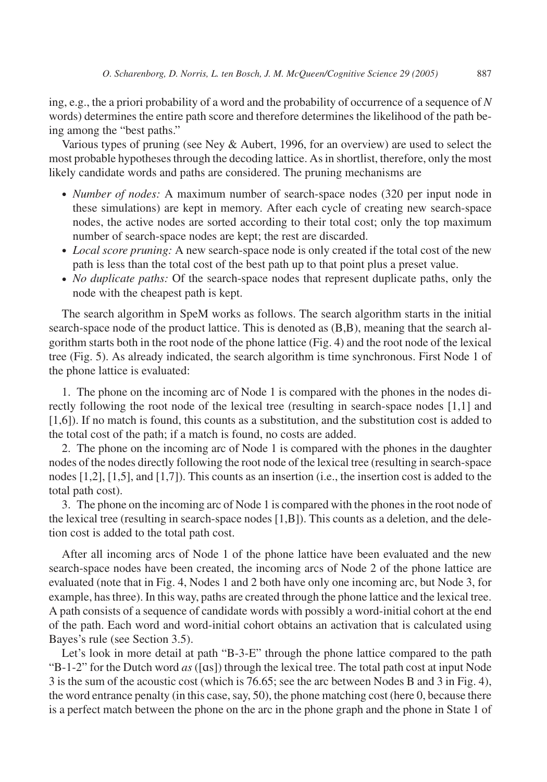ing, e.g., the a priori probability of a word and the probability of occurrence of a sequence of *N* words) determines the entire path score and therefore determines the likelihood of the path being among the "best paths."

Various types of pruning (see Ney & Aubert, 1996, for an overview) are used to select the most probable hypotheses through the decoding lattice. As in shortlist, therefore, only the most likely candidate words and paths are considered. The pruning mechanisms are

- *Number of nodes:* A maximum number of search-space nodes (320 per input node in these simulations) are kept in memory. After each cycle of creating new search-space nodes, the active nodes are sorted according to their total cost; only the top maximum number of search-space nodes are kept; the rest are discarded.
- *Local score pruning:* A new search-space node is only created if the total cost of the new path is less than the total cost of the best path up to that point plus a preset value.
- *No duplicate paths:* Of the search-space nodes that represent duplicate paths, only the node with the cheapest path is kept.

The search algorithm in SpeM works as follows. The search algorithm starts in the initial search-space node of the product lattice. This is denoted as (B,B), meaning that the search algorithm starts both in the root node of the phone lattice (Fig. 4) and the root node of the lexical tree (Fig. 5). As already indicated, the search algorithm is time synchronous. First Node 1 of the phone lattice is evaluated:

1. The phone on the incoming arc of Node 1 is compared with the phones in the nodes directly following the root node of the lexical tree (resulting in search-space nodes [1,1] and [1,6]). If no match is found, this counts as a substitution, and the substitution cost is added to the total cost of the path; if a match is found, no costs are added.

2. The phone on the incoming arc of Node 1 is compared with the phones in the daughter nodes of the nodes directly following the root node of the lexical tree (resulting in search-space nodes [1,2], [1,5], and [1,7]). This counts as an insertion (i.e., the insertion cost is added to the total path cost).

3. The phone on the incoming arc of Node 1 is compared with the phones in the root node of the lexical tree (resulting in search-space nodes [1,B]). This counts as a deletion, and the deletion cost is added to the total path cost.

After all incoming arcs of Node 1 of the phone lattice have been evaluated and the new search-space nodes have been created, the incoming arcs of Node 2 of the phone lattice are evaluated (note that in Fig. 4, Nodes 1 and 2 both have only one incoming arc, but Node 3, for example, has three). In this way, paths are created through the phone lattice and the lexical tree. A path consists of a sequence of candidate words with possibly a word-initial cohort at the end of the path. Each word and word-initial cohort obtains an activation that is calculated using Bayes's rule (see Section 3.5).

Let's look in more detail at path "B-3-E" through the phone lattice compared to the path "B-1-2" for the Dutch word *as* ([ɑs]) through the lexical tree. The total path cost at input Node 3 is the sum of the acoustic cost (which is 76.65; see the arc between Nodes B and 3 in Fig. 4), the word entrance penalty (in this case, say, 50), the phone matching cost (here 0, because there is a perfect match between the phone on the arc in the phone graph and the phone in State 1 of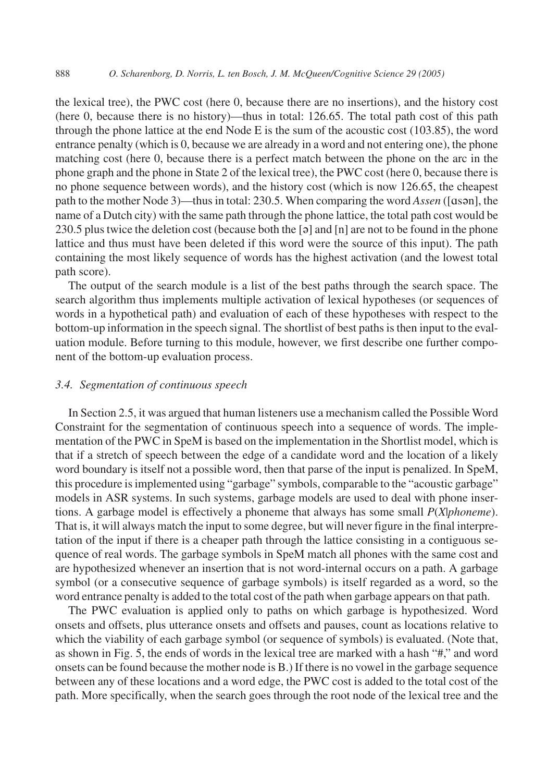the lexical tree), the PWC cost (here 0, because there are no insertions), and the history cost (here 0, because there is no history)—thus in total: 126.65. The total path cost of this path through the phone lattice at the end Node E is the sum of the acoustic cost  $(103.85)$ , the word entrance penalty (which is 0, because we are already in a word and not entering one), the phone matching cost (here 0, because there is a perfect match between the phone on the arc in the phone graph and the phone in State 2 of the lexical tree), the PWC cost (here 0, because there is no phone sequence between words), and the history cost (which is now 126.65, the cheapest path to the mother Node 3)—thus in total: 230.5. When comparing the word *Assen* ([ɑsən], the name of a Dutch city) with the same path through the phone lattice, the total path cost would be 230.5 plus twice the deletion cost (because both the [ə] and [n] are not to be found in the phone lattice and thus must have been deleted if this word were the source of this input). The path containing the most likely sequence of words has the highest activation (and the lowest total path score).

The output of the search module is a list of the best paths through the search space. The search algorithm thus implements multiple activation of lexical hypotheses (or sequences of words in a hypothetical path) and evaluation of each of these hypotheses with respect to the bottom-up information in the speech signal. The shortlist of best paths is then input to the evaluation module. Before turning to this module, however, we first describe one further component of the bottom-up evaluation process.

## *3.4. Segmentation of continuous speech*

In Section 2.5, it was argued that human listeners use a mechanism called the Possible Word Constraint for the segmentation of continuous speech into a sequence of words. The implementation of the PWC in SpeM is based on the implementation in the Shortlist model, which is that if a stretch of speech between the edge of a candidate word and the location of a likely word boundary is itself not a possible word, then that parse of the input is penalized. In SpeM, this procedure is implemented using "garbage" symbols, comparable to the "acoustic garbage" models in ASR systems. In such systems, garbage models are used to deal with phone insertions. A garbage model is effectively a phoneme that always has some small *P*(*X*|*phoneme*). That is, it will always match the input to some degree, but will never figure in the final interpretation of the input if there is a cheaper path through the lattice consisting in a contiguous sequence of real words. The garbage symbols in SpeM match all phones with the same cost and are hypothesized whenever an insertion that is not word-internal occurs on a path. A garbage symbol (or a consecutive sequence of garbage symbols) is itself regarded as a word, so the word entrance penalty is added to the total cost of the path when garbage appears on that path.

The PWC evaluation is applied only to paths on which garbage is hypothesized. Word onsets and offsets, plus utterance onsets and offsets and pauses, count as locations relative to which the viability of each garbage symbol (or sequence of symbols) is evaluated. (Note that, as shown in Fig. 5, the ends of words in the lexical tree are marked with a hash "#," and word onsets can be found because the mother node is B.) If there is no vowel in the garbage sequence between any of these locations and a word edge, the PWC cost is added to the total cost of the path. More specifically, when the search goes through the root node of the lexical tree and the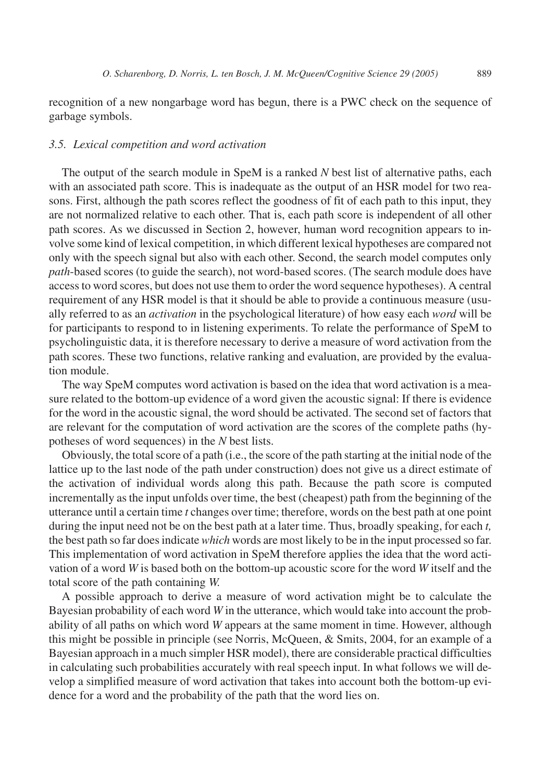recognition of a new nongarbage word has begun, there is a PWC check on the sequence of garbage symbols.

## *3.5. Lexical competition and word activation*

The output of the search module in SpeM is a ranked *N* best list of alternative paths, each with an associated path score. This is inadequate as the output of an HSR model for two reasons. First, although the path scores reflect the goodness of fit of each path to this input, they are not normalized relative to each other. That is, each path score is independent of all other path scores. As we discussed in Section 2, however, human word recognition appears to involve some kind of lexical competition, in which different lexical hypotheses are compared not only with the speech signal but also with each other. Second, the search model computes only *path*-based scores (to guide the search), not word-based scores. (The search module does have access to word scores, but does not use them to order the word sequence hypotheses). A central requirement of any HSR model is that it should be able to provide a continuous measure (usually referred to as an *activation* in the psychological literature) of how easy each *word* will be for participants to respond to in listening experiments. To relate the performance of SpeM to psycholinguistic data, it is therefore necessary to derive a measure of word activation from the path scores. These two functions, relative ranking and evaluation, are provided by the evaluation module.

The way SpeM computes word activation is based on the idea that word activation is a measure related to the bottom-up evidence of a word given the acoustic signal: If there is evidence for the word in the acoustic signal, the word should be activated. The second set of factors that are relevant for the computation of word activation are the scores of the complete paths (hypotheses of word sequences) in the *N* best lists.

Obviously, the total score of a path (i.e., the score of the path starting at the initial node of the lattice up to the last node of the path under construction) does not give us a direct estimate of the activation of individual words along this path. Because the path score is computed incrementally as the input unfolds over time, the best (cheapest) path from the beginning of the utterance until a certain time *t* changes over time; therefore, words on the best path at one point during the input need not be on the best path at a later time. Thus, broadly speaking, for each *t,* the best path so far does indicate *which* words are most likely to be in the input processed so far. This implementation of word activation in SpeM therefore applies the idea that the word activation of a word *W* is based both on the bottom-up acoustic score for the word *W* itself and the total score of the path containing *W.*

A possible approach to derive a measure of word activation might be to calculate the Bayesian probability of each word *W* in the utterance, which would take into account the probability of all paths on which word *W* appears at the same moment in time. However, although this might be possible in principle (see Norris, McQueen, & Smits, 2004, for an example of a Bayesian approach in a much simpler HSR model), there are considerable practical difficulties in calculating such probabilities accurately with real speech input. In what follows we will develop a simplified measure of word activation that takes into account both the bottom-up evidence for a word and the probability of the path that the word lies on.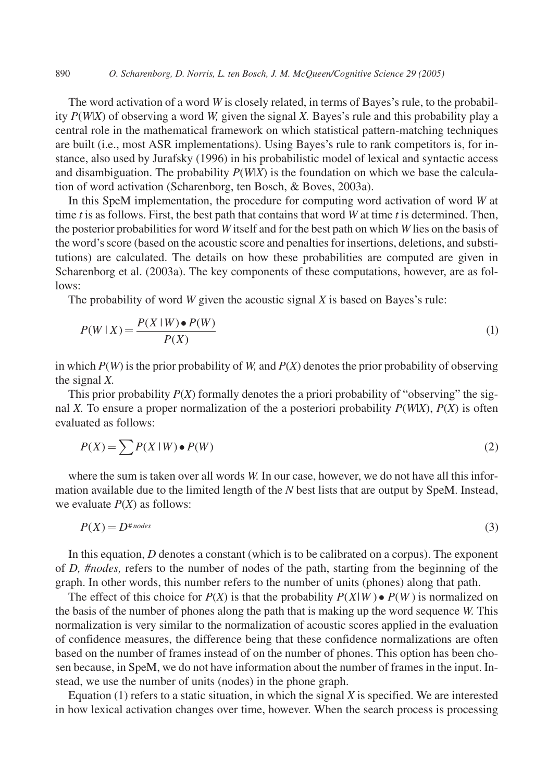The word activation of a word *W* is closely related, in terms of Bayes's rule, to the probability *P*(*W*|*X*) of observing a word *W,* given the signal *X.* Bayes's rule and this probability play a central role in the mathematical framework on which statistical pattern-matching techniques are built (i.e., most ASR implementations). Using Bayes's rule to rank competitors is, for instance, also used by Jurafsky (1996) in his probabilistic model of lexical and syntactic access and disambiguation. The probability  $P(W|X)$  is the foundation on which we base the calculation of word activation (Scharenborg, ten Bosch, & Boves, 2003a).

In this SpeM implementation, the procedure for computing word activation of word *W* at time *t* is as follows. First, the best path that contains that word *W* at time *t* is determined. Then, the posterior probabilities for word *W* itself and for the best path on which *W* lies on the basis of the word's score (based on the acoustic score and penalties for insertions, deletions, and substitutions) are calculated. The details on how these probabilities are computed are given in Scharenborg et al. (2003a). The key components of these computations, however, are as follows:

The probability of word *W* given the acoustic signal *X* is based on Bayes's rule:

$$
P(W \mid X) = \frac{P(X \mid W) \bullet P(W)}{P(X)}\tag{1}
$$

in which *P*(*W*) is the prior probability of *W,* and *P*(*X*) denotes the prior probability of observing the signal *X.*

This prior probability  $P(X)$  formally denotes the a priori probability of "observing" the signal *X*. To ensure a proper normalization of the a posteriori probability  $P(W|X)$ ,  $P(X)$  is often evaluated as follows:

$$
P(X) = \sum P(X \mid W) \bullet P(W) \tag{2}
$$

where the sum is taken over all words *W.* In our case, however, we do not have all this information available due to the limited length of the *N* best lists that are output by SpeM. Instead, we evaluate *P*(*X*) as follows:

$$
P(X) = D^{\text{*nodes}} \tag{3}
$$

In this equation, *D* denotes a constant (which is to be calibrated on a corpus). The exponent of *D, #nodes,* refers to the number of nodes of the path, starting from the beginning of the graph. In other words, this number refers to the number of units (phones) along that path.

The effect of this choice for  $P(X)$  is that the probability  $P(X|W) \bullet P(W)$  is normalized on the basis of the number of phones along the path that is making up the word sequence *W.* This normalization is very similar to the normalization of acoustic scores applied in the evaluation of confidence measures, the difference being that these confidence normalizations are often based on the number of frames instead of on the number of phones. This option has been chosen because, in SpeM, we do not have information about the number of frames in the input. Instead, we use the number of units (nodes) in the phone graph.

Equation (1) refers to a static situation, in which the signal *X* is specified. We are interested in how lexical activation changes over time, however. When the search process is processing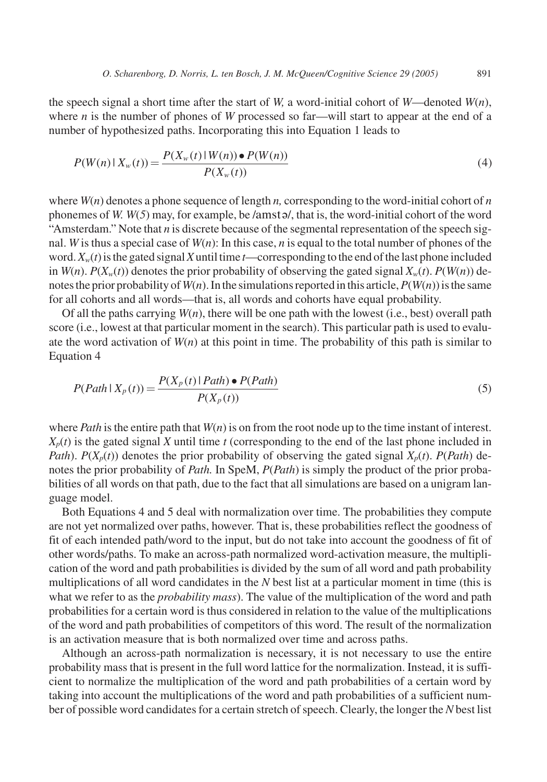the speech signal a short time after the start of *W*, a word-initial cohort of *W*—denoted *W*(*n*), where *n* is the number of phones of *W* processed so far—will start to appear at the end of a number of hypothesized paths. Incorporating this into Equation 1 leads to

$$
P(W(n) \mid X_w(t)) = \frac{P(X_w(t) \mid W(n)) \bullet P(W(n))}{P(X_w(t))}
$$
\n(4)

where  $W(n)$  denotes a phone sequence of length *n*, corresponding to the word-initial cohort of *n* phonemes of *W. W*(*5*) may, for example, be /amstə/, that is, the word-initial cohort of the word "Amsterdam." Note that *n* is discrete because of the segmental representation of the speech signal. *W* is thus a special case of *W*(*n*): In this case, *n* is equal to the total number of phones of the word.  $X_w(t)$  is the gated signal X until time *t*—corresponding to the end of the last phone included in  $W(n)$ .  $P(X_w(t))$  denotes the prior probability of observing the gated signal  $X_w(t)$ .  $P(W(n))$  denotes the prior probability of*W*(*n*). In the simulations reported in this article,*P*(*W*(*n*)) is the same for all cohorts and all words—that is, all words and cohorts have equal probability.

Of all the paths carrying  $W(n)$ , there will be one path with the lowest (i.e., best) overall path score (i.e., lowest at that particular moment in the search). This particular path is used to evaluate the word activation of  $W(n)$  at this point in time. The probability of this path is similar to Equation 4

$$
P(Path | Xp(t)) = \frac{P(Xp(t) | Path) \bullet P(Path)}{P(Xp(t))}
$$
\n(5)

where *Path* is the entire path that *W*(*n*) is on from the root node up to the time instant of interest.  $X_p(t)$  is the gated signal *X* until time *t* (corresponding to the end of the last phone included in *Path*). *P*( $X_p(t)$ ) denotes the prior probability of observing the gated signal  $X_p(t)$ . *P*(*Path*) denotes the prior probability of *Path.* In SpeM, *P*(*Path*) is simply the product of the prior probabilities of all words on that path, due to the fact that all simulations are based on a unigram language model.

Both Equations 4 and 5 deal with normalization over time. The probabilities they compute are not yet normalized over paths, however. That is, these probabilities reflect the goodness of fit of each intended path/word to the input, but do not take into account the goodness of fit of other words/paths. To make an across-path normalized word-activation measure, the multiplication of the word and path probabilities is divided by the sum of all word and path probability multiplications of all word candidates in the *N* best list at a particular moment in time (this is what we refer to as the *probability mass*). The value of the multiplication of the word and path probabilities for a certain word is thus considered in relation to the value of the multiplications of the word and path probabilities of competitors of this word. The result of the normalization is an activation measure that is both normalized over time and across paths.

Although an across-path normalization is necessary, it is not necessary to use the entire probability mass that is present in the full word lattice for the normalization. Instead, it is sufficient to normalize the multiplication of the word and path probabilities of a certain word by taking into account the multiplications of the word and path probabilities of a sufficient number of possible word candidates for a certain stretch of speech. Clearly, the longer the *N* best list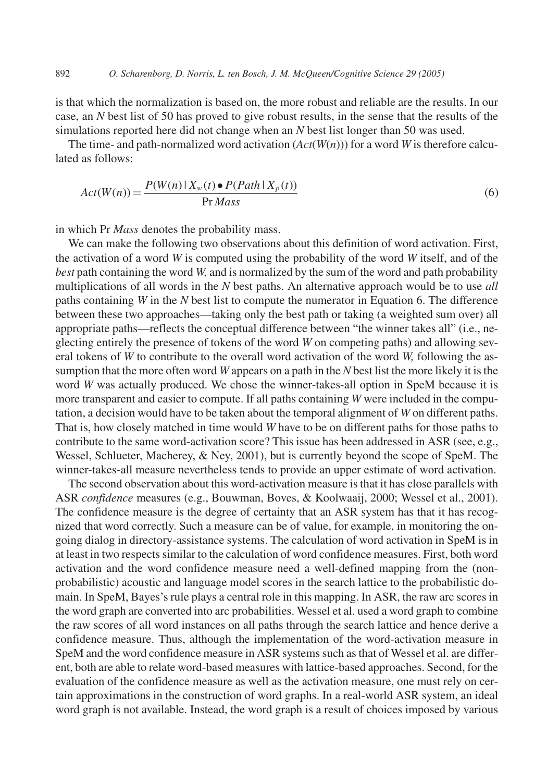is that which the normalization is based on, the more robust and reliable are the results. In our case, an *N* best list of 50 has proved to give robust results, in the sense that the results of the simulations reported here did not change when an *N* best list longer than 50 was used.

The time- and path-normalized word activation (*Act*(*W*(*n*))) for a word *W* is therefore calculated as follows:

$$
Act(W(n)) = \frac{P(W(n) | X_w(t) \bullet P(Path | X_p(t))}{Pr Mass}
$$
\n<sup>(6)</sup>

in which Pr *Mass* denotes the probability mass.

We can make the following two observations about this definition of word activation. First, the activation of a word *W* is computed using the probability of the word *W* itself, and of the *best* path containing the word *W,* and is normalized by the sum of the word and path probability multiplications of all words in the *N* best paths. An alternative approach would be to use *all* paths containing *W* in the *N* best list to compute the numerator in Equation 6. The difference between these two approaches—taking only the best path or taking (a weighted sum over) all appropriate paths—reflects the conceptual difference between "the winner takes all" (i.e., neglecting entirely the presence of tokens of the word *W* on competing paths) and allowing several tokens of *W* to contribute to the overall word activation of the word *W,* following the assumption that the more often word *W* appears on a path in the *N* best list the more likely it is the word *W* was actually produced. We chose the winner-takes-all option in SpeM because it is more transparent and easier to compute. If all paths containing *W* were included in the computation, a decision would have to be taken about the temporal alignment of *W* on different paths. That is, how closely matched in time would *W* have to be on different paths for those paths to contribute to the same word-activation score? This issue has been addressed in ASR (see, e.g., Wessel, Schlueter, Macherey, & Ney, 2001), but is currently beyond the scope of SpeM. The winner-takes-all measure nevertheless tends to provide an upper estimate of word activation.

The second observation about this word-activation measure is that it has close parallels with ASR *confidence* measures (e.g., Bouwman, Boves, & Koolwaaij, 2000; Wessel et al., 2001). The confidence measure is the degree of certainty that an ASR system has that it has recognized that word correctly. Such a measure can be of value, for example, in monitoring the ongoing dialog in directory-assistance systems. The calculation of word activation in SpeM is in at least in two respects similar to the calculation of word confidence measures. First, both word activation and the word confidence measure need a well-defined mapping from the (nonprobabilistic) acoustic and language model scores in the search lattice to the probabilistic domain. In SpeM, Bayes's rule plays a central role in this mapping. In ASR, the raw arc scores in the word graph are converted into arc probabilities. Wessel et al. used a word graph to combine the raw scores of all word instances on all paths through the search lattice and hence derive a confidence measure. Thus, although the implementation of the word-activation measure in SpeM and the word confidence measure in ASR systems such as that of Wessel et al. are different, both are able to relate word-based measures with lattice-based approaches. Second, for the evaluation of the confidence measure as well as the activation measure, one must rely on certain approximations in the construction of word graphs. In a real-world ASR system, an ideal word graph is not available. Instead, the word graph is a result of choices imposed by various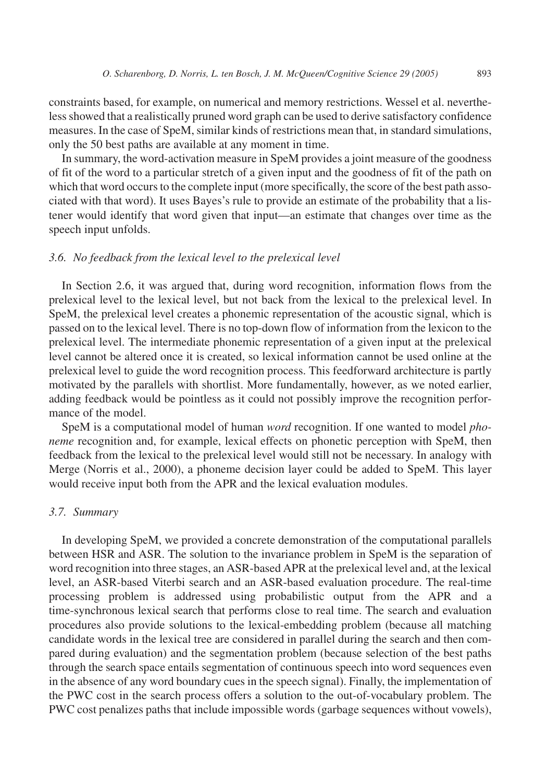constraints based, for example, on numerical and memory restrictions. Wessel et al. nevertheless showed that a realistically pruned word graph can be used to derive satisfactory confidence measures. In the case of SpeM, similar kinds of restrictions mean that, in standard simulations, only the 50 best paths are available at any moment in time.

In summary, the word-activation measure in SpeM provides a joint measure of the goodness of fit of the word to a particular stretch of a given input and the goodness of fit of the path on which that word occurs to the complete input (more specifically, the score of the best path associated with that word). It uses Bayes's rule to provide an estimate of the probability that a listener would identify that word given that input—an estimate that changes over time as the speech input unfolds.

#### *3.6. No feedback from the lexical level to the prelexical level*

In Section 2.6, it was argued that, during word recognition, information flows from the prelexical level to the lexical level, but not back from the lexical to the prelexical level. In SpeM, the prelexical level creates a phonemic representation of the acoustic signal, which is passed on to the lexical level. There is no top-down flow of information from the lexicon to the prelexical level. The intermediate phonemic representation of a given input at the prelexical level cannot be altered once it is created, so lexical information cannot be used online at the prelexical level to guide the word recognition process. This feedforward architecture is partly motivated by the parallels with shortlist. More fundamentally, however, as we noted earlier, adding feedback would be pointless as it could not possibly improve the recognition performance of the model.

SpeM is a computational model of human *word* recognition. If one wanted to model *phoneme* recognition and, for example, lexical effects on phonetic perception with SpeM, then feedback from the lexical to the prelexical level would still not be necessary. In analogy with Merge (Norris et al., 2000), a phoneme decision layer could be added to SpeM. This layer would receive input both from the APR and the lexical evaluation modules.

#### *3.7. Summary*

In developing SpeM, we provided a concrete demonstration of the computational parallels between HSR and ASR. The solution to the invariance problem in SpeM is the separation of word recognition into three stages, an ASR-based APR at the prelexical level and, at the lexical level, an ASR-based Viterbi search and an ASR-based evaluation procedure. The real-time processing problem is addressed using probabilistic output from the APR and a time-synchronous lexical search that performs close to real time. The search and evaluation procedures also provide solutions to the lexical-embedding problem (because all matching candidate words in the lexical tree are considered in parallel during the search and then compared during evaluation) and the segmentation problem (because selection of the best paths through the search space entails segmentation of continuous speech into word sequences even in the absence of any word boundary cues in the speech signal). Finally, the implementation of the PWC cost in the search process offers a solution to the out-of-vocabulary problem. The PWC cost penalizes paths that include impossible words (garbage sequences without vowels),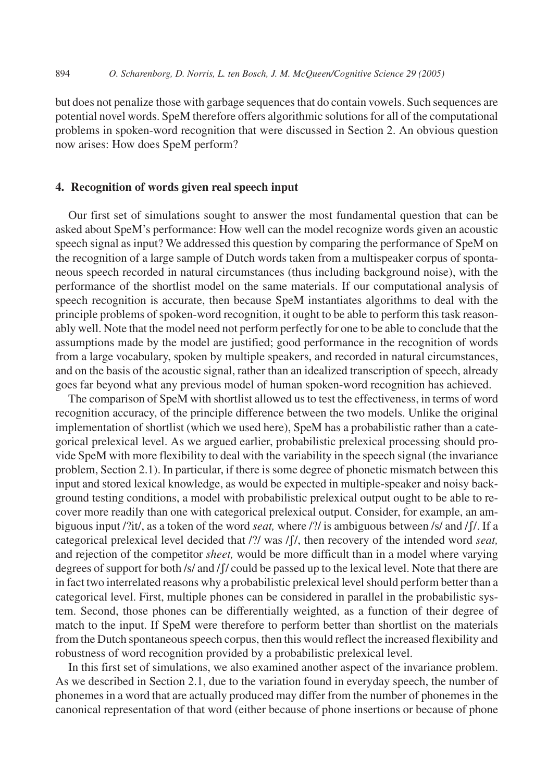but does not penalize those with garbage sequences that do contain vowels. Such sequences are potential novel words. SpeM therefore offers algorithmic solutions for all of the computational problems in spoken-word recognition that were discussed in Section 2. An obvious question now arises: How does SpeM perform?

# **4. Recognition of words given real speech input**

Our first set of simulations sought to answer the most fundamental question that can be asked about SpeM's performance: How well can the model recognize words given an acoustic speech signal as input? We addressed this question by comparing the performance of SpeM on the recognition of a large sample of Dutch words taken from a multispeaker corpus of spontaneous speech recorded in natural circumstances (thus including background noise), with the performance of the shortlist model on the same materials. If our computational analysis of speech recognition is accurate, then because SpeM instantiates algorithms to deal with the principle problems of spoken-word recognition, it ought to be able to perform this task reasonably well. Note that the model need not perform perfectly for one to be able to conclude that the assumptions made by the model are justified; good performance in the recognition of words from a large vocabulary, spoken by multiple speakers, and recorded in natural circumstances, and on the basis of the acoustic signal, rather than an idealized transcription of speech, already goes far beyond what any previous model of human spoken-word recognition has achieved.

The comparison of SpeM with shortlist allowed us to test the effectiveness, in terms of word recognition accuracy, of the principle difference between the two models. Unlike the original implementation of shortlist (which we used here), SpeM has a probabilistic rather than a categorical prelexical level. As we argued earlier, probabilistic prelexical processing should provide SpeM with more flexibility to deal with the variability in the speech signal (the invariance problem, Section 2.1). In particular, if there is some degree of phonetic mismatch between this input and stored lexical knowledge, as would be expected in multiple-speaker and noisy background testing conditions, a model with probabilistic prelexical output ought to be able to recover more readily than one with categorical prelexical output. Consider, for example, an ambiguous input /?it/, as a token of the word *seat,* where /?/ is ambiguous between /s/ and /ʃ/. If a categorical prelexical level decided that /?/ was /ʃ/, then recovery of the intended word *seat,* and rejection of the competitor *sheet,* would be more difficult than in a model where varying degrees of support for both /s/ and /f/ could be passed up to the lexical level. Note that there are in fact two interrelated reasons why a probabilistic prelexical level should perform better than a categorical level. First, multiple phones can be considered in parallel in the probabilistic system. Second, those phones can be differentially weighted, as a function of their degree of match to the input. If SpeM were therefore to perform better than shortlist on the materials from the Dutch spontaneous speech corpus, then this would reflect the increased flexibility and robustness of word recognition provided by a probabilistic prelexical level.

In this first set of simulations, we also examined another aspect of the invariance problem. As we described in Section 2.1, due to the variation found in everyday speech, the number of phonemes in a word that are actually produced may differ from the number of phonemes in the canonical representation of that word (either because of phone insertions or because of phone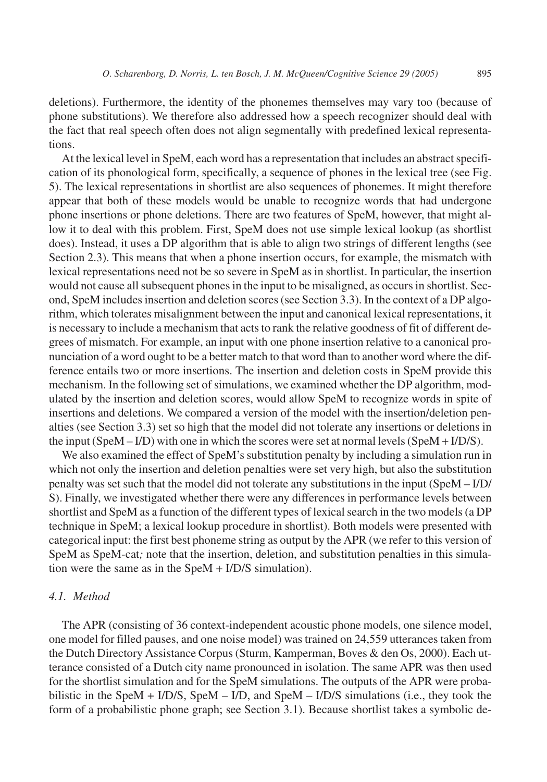deletions). Furthermore, the identity of the phonemes themselves may vary too (because of phone substitutions). We therefore also addressed how a speech recognizer should deal with the fact that real speech often does not align segmentally with predefined lexical representations.

At the lexical level in SpeM, each word has a representation that includes an abstract specification of its phonological form, specifically, a sequence of phones in the lexical tree (see Fig. 5). The lexical representations in shortlist are also sequences of phonemes. It might therefore appear that both of these models would be unable to recognize words that had undergone phone insertions or phone deletions. There are two features of SpeM, however, that might allow it to deal with this problem. First, SpeM does not use simple lexical lookup (as shortlist does). Instead, it uses a DP algorithm that is able to align two strings of different lengths (see Section 2.3). This means that when a phone insertion occurs, for example, the mismatch with lexical representations need not be so severe in SpeM as in shortlist. In particular, the insertion would not cause all subsequent phones in the input to be misaligned, as occurs in shortlist. Second, SpeM includes insertion and deletion scores (see Section 3.3). In the context of a DP algorithm, which tolerates misalignment between the input and canonical lexical representations, it is necessary to include a mechanism that acts to rank the relative goodness of fit of different degrees of mismatch. For example, an input with one phone insertion relative to a canonical pronunciation of a word ought to be a better match to that word than to another word where the difference entails two or more insertions. The insertion and deletion costs in SpeM provide this mechanism. In the following set of simulations, we examined whether the DP algorithm, modulated by the insertion and deletion scores, would allow SpeM to recognize words in spite of insertions and deletions. We compared a version of the model with the insertion/deletion penalties (see Section 3.3) set so high that the model did not tolerate any insertions or deletions in the input  $(SpeM - I/D)$  with one in which the scores were set at normal levels  $(SpeM + I/D/S)$ .

We also examined the effect of SpeM's substitution penalty by including a simulation run in which not only the insertion and deletion penalties were set very high, but also the substitution penalty was set such that the model did not tolerate any substitutions in the input (SpeM – I/D/ S). Finally, we investigated whether there were any differences in performance levels between shortlist and SpeM as a function of the different types of lexical search in the two models (a DP technique in SpeM; a lexical lookup procedure in shortlist). Both models were presented with categorical input: the first best phoneme string as output by the APR (we refer to this version of SpeM as SpeM-cat*;* note that the insertion, deletion, and substitution penalties in this simulation were the same as in the SpeM + I/D/S simulation).

## *4.1. Method*

The APR (consisting of 36 context-independent acoustic phone models, one silence model, one model for filled pauses, and one noise model) was trained on 24,559 utterances taken from the Dutch Directory Assistance Corpus (Sturm, Kamperman, Boves & den Os, 2000). Each utterance consisted of a Dutch city name pronounced in isolation. The same APR was then used for the shortlist simulation and for the SpeM simulations. The outputs of the APR were probabilistic in the SpeM +  $I/D/S$ , SpeM –  $I/D$ , and SpeM –  $I/D/S$  simulations (i.e., they took the form of a probabilistic phone graph; see Section 3.1). Because shortlist takes a symbolic de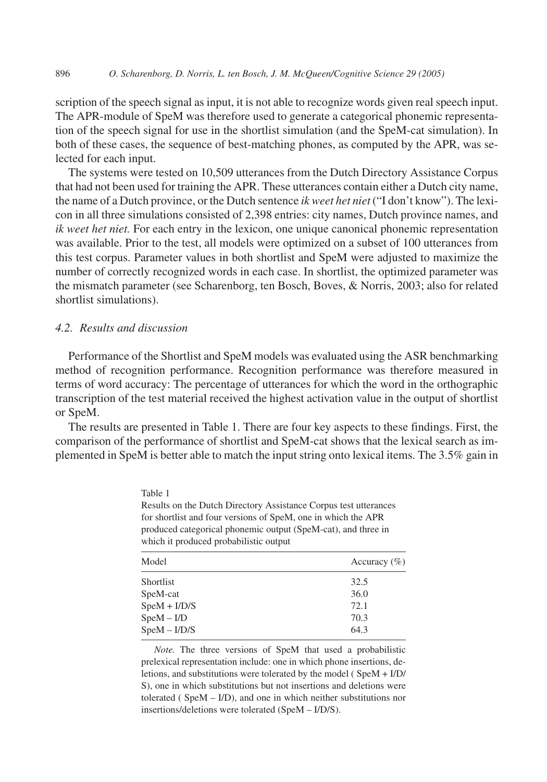scription of the speech signal as input, it is not able to recognize words given real speech input. The APR-module of SpeM was therefore used to generate a categorical phonemic representation of the speech signal for use in the shortlist simulation (and the SpeM-cat simulation). In both of these cases, the sequence of best-matching phones, as computed by the APR, was selected for each input.

The systems were tested on 10,509 utterances from the Dutch Directory Assistance Corpus that had not been used for training the APR. These utterances contain either a Dutch city name, the name of a Dutch province, or the Dutch sentence *ik weet het niet* ("I don't know"). The lexicon in all three simulations consisted of 2,398 entries: city names, Dutch province names, and *ik weet het niet.* For each entry in the lexicon, one unique canonical phonemic representation was available. Prior to the test, all models were optimized on a subset of 100 utterances from this test corpus. Parameter values in both shortlist and SpeM were adjusted to maximize the number of correctly recognized words in each case. In shortlist, the optimized parameter was the mismatch parameter (see Scharenborg, ten Bosch, Boves, & Norris, 2003; also for related shortlist simulations).

## *4.2. Results and discussion*

Performance of the Shortlist and SpeM models was evaluated using the ASR benchmarking method of recognition performance. Recognition performance was therefore measured in terms of word accuracy: The percentage of utterances for which the word in the orthographic transcription of the test material received the highest activation value in the output of shortlist or SpeM.

The results are presented in Table 1. There are four key aspects to these findings. First, the comparison of the performance of shortlist and SpeM-cat shows that the lexical search as implemented in SpeM is better able to match the input string onto lexical items. The 3.5% gain in

| Table 1                                                          |
|------------------------------------------------------------------|
| Results on the Dutch Directory Assistance Corpus test utterances |
| for shortlist and four versions of SpeM, one in which the APR    |
| produced categorical phonemic output (SpeM-cat), and three in    |
| which it produced probabilistic output                           |
| Accuracy $(\% )$<br>Model                                        |

| Model          | Accuracy $(\% )$ |
|----------------|------------------|
| Shortlist      | 32.5             |
| SpeM-cat       | 36.0             |
| $SpeM + I/D/S$ | 72.1             |
| $SpeM - I/D$   | 70.3             |
| $SpeM - I/D/S$ | 64.3             |

*Note.* The three versions of SpeM that used a probabilistic prelexical representation include: one in which phone insertions, deletions, and substitutions were tolerated by the model ( SpeM + I/D/ S), one in which substitutions but not insertions and deletions were tolerated ( SpeM – I/D), and one in which neither substitutions nor insertions/deletions were tolerated (SpeM – I/D/S).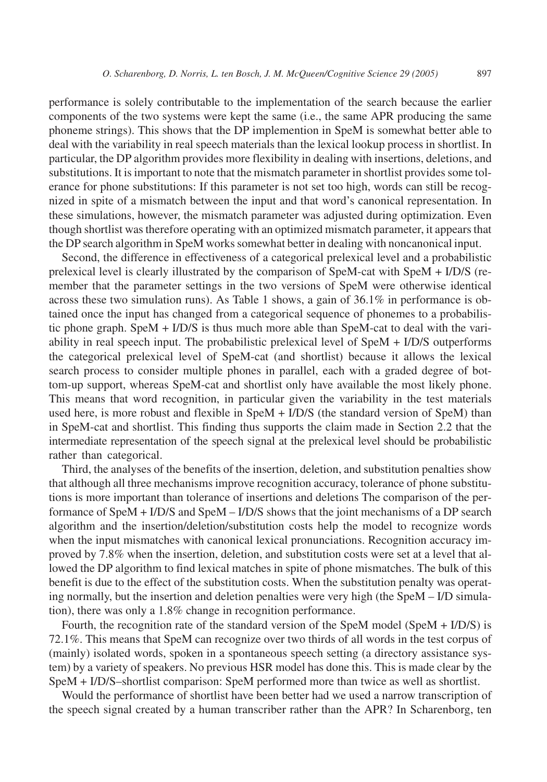performance is solely contributable to the implementation of the search because the earlier components of the two systems were kept the same (i.e., the same APR producing the same phoneme strings). This shows that the DP implemention in SpeM is somewhat better able to deal with the variability in real speech materials than the lexical lookup process in shortlist. In particular, the DP algorithm provides more flexibility in dealing with insertions, deletions, and substitutions. It is important to note that the mismatch parameter in shortlist provides some tolerance for phone substitutions: If this parameter is not set too high, words can still be recognized in spite of a mismatch between the input and that word's canonical representation. In these simulations, however, the mismatch parameter was adjusted during optimization. Even though shortlist was therefore operating with an optimized mismatch parameter, it appears that the DP search algorithm in SpeM works somewhat better in dealing with noncanonical input.

Second, the difference in effectiveness of a categorical prelexical level and a probabilistic prelexical level is clearly illustrated by the comparison of SpeM-cat with SpeM + I/D/S (remember that the parameter settings in the two versions of SpeM were otherwise identical across these two simulation runs). As Table 1 shows, a gain of 36.1% in performance is obtained once the input has changed from a categorical sequence of phonemes to a probabilistic phone graph. Spe $M + I/D/S$  is thus much more able than SpeM-cat to deal with the variability in real speech input. The probabilistic prelexical level of SpeM + I/D/S outperforms the categorical prelexical level of SpeM-cat (and shortlist) because it allows the lexical search process to consider multiple phones in parallel, each with a graded degree of bottom-up support, whereas SpeM-cat and shortlist only have available the most likely phone. This means that word recognition, in particular given the variability in the test materials used here, is more robust and flexible in SpeM + I/D/S (the standard version of SpeM) than in SpeM-cat and shortlist. This finding thus supports the claim made in Section 2.2 that the intermediate representation of the speech signal at the prelexical level should be probabilistic rather than categorical.

Third, the analyses of the benefits of the insertion, deletion, and substitution penalties show that although all three mechanisms improve recognition accuracy, tolerance of phone substitutions is more important than tolerance of insertions and deletions The comparison of the performance of SpeM + I/D/S and SpeM – I/D/S shows that the joint mechanisms of a DP search algorithm and the insertion/deletion/substitution costs help the model to recognize words when the input mismatches with canonical lexical pronunciations. Recognition accuracy improved by 7.8% when the insertion, deletion, and substitution costs were set at a level that allowed the DP algorithm to find lexical matches in spite of phone mismatches. The bulk of this benefit is due to the effect of the substitution costs. When the substitution penalty was operating normally, but the insertion and deletion penalties were very high (the SpeM – I/D simulation), there was only a 1.8% change in recognition performance.

Fourth, the recognition rate of the standard version of the SpeM model (SpeM + I/D/S) is 72.1%. This means that SpeM can recognize over two thirds of all words in the test corpus of (mainly) isolated words, spoken in a spontaneous speech setting (a directory assistance system) by a variety of speakers. No previous HSR model has done this. This is made clear by the SpeM + I/D/S–shortlist comparison: SpeM performed more than twice as well as shortlist.

Would the performance of shortlist have been better had we used a narrow transcription of the speech signal created by a human transcriber rather than the APR? In Scharenborg, ten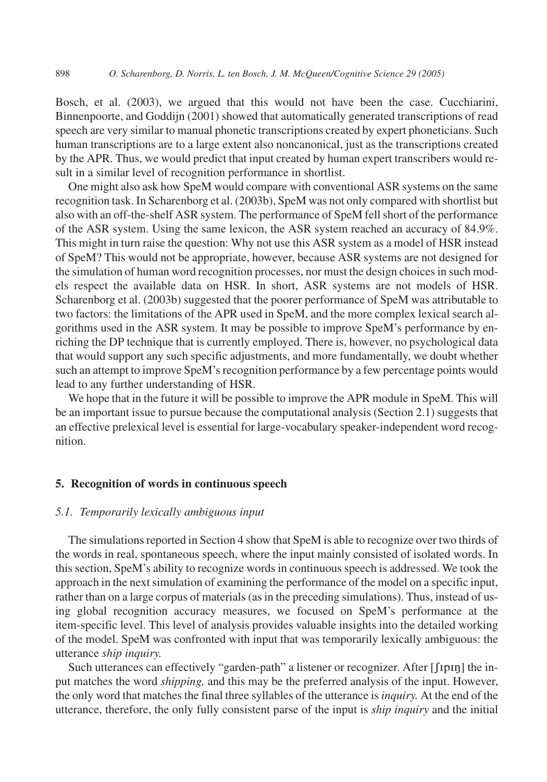Bosch, et al. (2003), we argued that this would not have been the case. Cucchiarini, Binnenpoorte, and Goddijn (2001) showed that automatically generated transcriptions of read speech are very similar to manual phonetic transcriptions created by expert phoneticians. Such human transcriptions are to a large extent also noncanonical, just as the transcriptions created by the APR. Thus, we would predict that input created by human expert transcribers would result in a similar level of recognition performance in shortlist.

One might also ask how SpeM would compare with conventional ASR systems on the same recognition task. In Scharenborg et al. (2003b), SpeM was not only compared with shortlist but also with an off-the-shelf ASR system. The performance of SpeM fell short of the performance of the ASR system. Using the same lexicon, the ASR system reached an accuracy of 84.9%. This might in turn raise the question: Why not use this ASR system as a model of HSR instead of SpeM? This would not be appropriate, however, because ASR systems are not designed for the simulation of human word recognition processes, nor must the design choices in such models respect the available data on HSR. In short, ASR systems are not models of HSR. Scharenborg et al. (2003b) suggested that the poorer performance of SpeM was attributable to two factors: the limitations of the APR used in SpeM, and the more complex lexical search algorithms used in the ASR system. It may be possible to improve SpeM's performance by enriching the DP technique that is currently employed. There is, however, no psychological data that would support any such specific adjustments, and more fundamentally, we doubt whether such an attempt to improve SpeM's recognition performance by a few percentage points would lead to any further understanding of HSR.

We hope that in the future it will be possible to improve the APR module in SpeM. This will be an important issue to pursue because the computational analysis (Section 2.1) suggests that an effective prelexical level is essential for large-vocabulary speaker-independent word recognition.

#### **5. Recognition of words in continuous speech**

## *5.1. Temporarily lexically ambiguous input*

The simulations reported in Section 4 show that SpeM is able to recognize over two thirds of the words in real, spontaneous speech, where the input mainly consisted of isolated words. In this section, SpeM's ability to recognize words in continuous speech is addressed. We took the approach in the next simulation of examining the performance of the model on a specific input, rather than on a large corpus of materials (as in the preceding simulations). Thus, instead of using global recognition accuracy measures, we focused on SpeM's performance at the item-specific level. This level of analysis provides valuable insights into the detailed working of the model. SpeM was confronted with input that was temporarily lexically ambiguous: the utterance *ship inquiry.*

Such utterances can effectively "garden-path" a listener or recognizer. After  $[\int$ pn<sub>l</sub> the input matches the word *shipping,* and this may be the preferred analysis of the input. However, the only word that matches the final three syllables of the utterance is *inquiry.* At the end of the utterance, therefore, the only fully consistent parse of the input is *ship inquiry* and the initial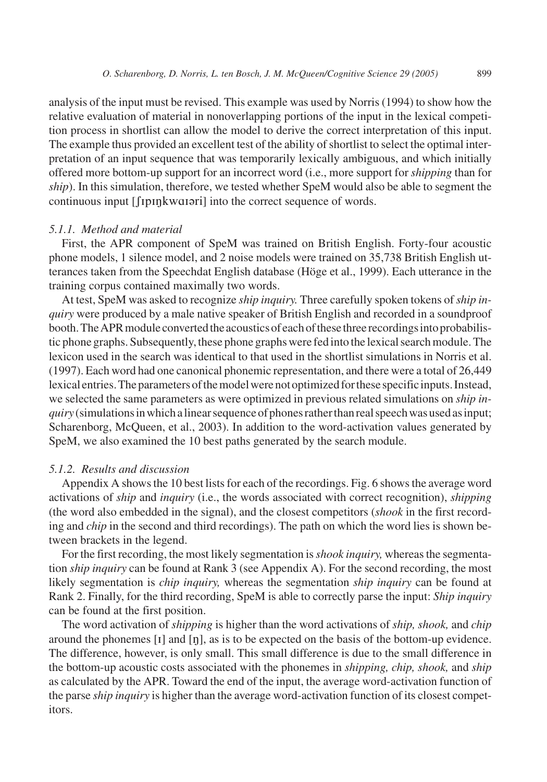analysis of the input must be revised. This example was used by Norris (1994) to show how the relative evaluation of material in nonoverlapping portions of the input in the lexical competition process in shortlist can allow the model to derive the correct interpretation of this input. The example thus provided an excellent test of the ability of shortlist to select the optimal interpretation of an input sequence that was temporarily lexically ambiguous, and which initially offered more bottom-up support for an incorrect word (i.e., more support for *shipping* than for *ship*). In this simulation, therefore, we tested whether SpeM would also be able to segment the continuous input [*frpnkwarari*] into the correct sequence of words.

## *5.1.1. Method and material*

First, the APR component of SpeM was trained on British English. Forty-four acoustic phone models, 1 silence model, and 2 noise models were trained on 35,738 British English utterances taken from the Speechdat English database (Höge et al., 1999). Each utterance in the training corpus contained maximally two words.

At test, SpeM was asked to recognize *ship inquiry.* Three carefully spoken tokens of*ship inquiry* were produced by a male native speaker of British English and recorded in a soundproof booth. The APR module converted the acoustics of each of these three recordings into probabilistic phone graphs. Subsequently, these phone graphs were fed into the lexical search module. The lexicon used in the search was identical to that used in the shortlist simulations in Norris et al. (1997). Each word had one canonical phonemic representation, and there were a total of 26,449 lexicalentries.Theparametersofthemodelwerenotoptimizedforthesespecificinputs.Instead, we selected the same parameters as were optimized in previous related simulations on *ship inquiry* (simulations in which a linear sequence of phones rather than real speech was used as input; Scharenborg, McQueen, et al., 2003). In addition to the word-activation values generated by SpeM, we also examined the 10 best paths generated by the search module.

## *5.1.2. Results and discussion*

Appendix A shows the 10 best lists for each of the recordings. Fig. 6 shows the average word activations of *ship* and *inquiry* (i.e., the words associated with correct recognition), *shipping* (the word also embedded in the signal), and the closest competitors (*shook* in the first recording and *chip* in the second and third recordings). The path on which the word lies is shown between brackets in the legend.

For the first recording, the most likely segmentation is*shook inquiry,* whereas the segmentation *ship inquiry* can be found at Rank 3 (see Appendix A). For the second recording, the most likely segmentation is *chip inquiry,* whereas the segmentation *ship inquiry* can be found at Rank 2. Finally, for the third recording, SpeM is able to correctly parse the input: *Ship inquiry* can be found at the first position.

The word activation of *shipping* is higher than the word activations of *ship, shook,* and *chip* around the phonemes  $[i]$  and  $[\eta]$ , as is to be expected on the basis of the bottom-up evidence. The difference, however, is only small. This small difference is due to the small difference in the bottom-up acoustic costs associated with the phonemes in *shipping, chip, shook,* and *ship* as calculated by the APR. Toward the end of the input, the average word-activation function of the parse *ship inquiry* is higher than the average word-activation function of its closest competitors.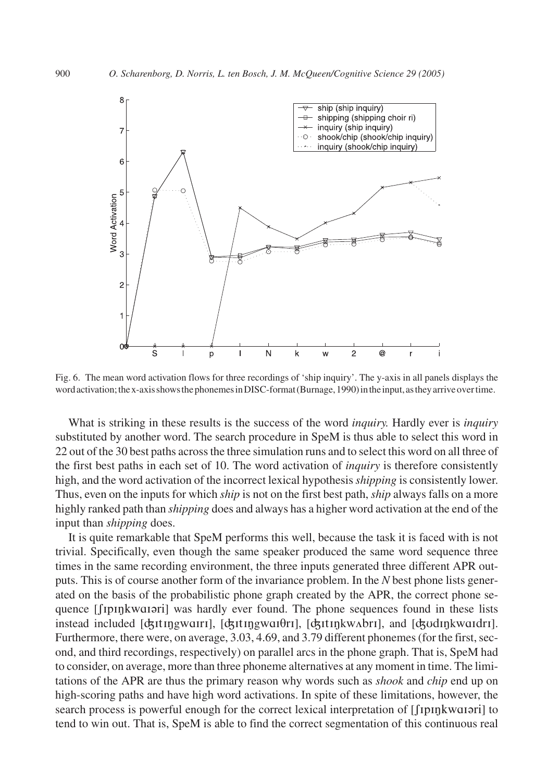

Fig. 6. The mean word activation flows for three recordings of 'ship inquiry'. The y-axis in all panels displays the word activation; the x-axis shows the phonemes in DISC-format (Burnage, 1990) in the input, as they arrive over time.

What is striking in these results is the success of the word *inquiry.* Hardly ever is *inquiry* substituted by another word. The search procedure in SpeM is thus able to select this word in 22 out of the 30 best paths across the three simulation runs and to select this word on all three of the first best paths in each set of 10. The word activation of *inquiry* is therefore consistently high, and the word activation of the incorrect lexical hypothesis *shipping* is consistently lower. Thus, even on the inputs for which *ship* is not on the first best path, *ship* always falls on a more highly ranked path than *shipping* does and always has a higher word activation at the end of the input than *shipping* does.

It is quite remarkable that SpeM performs this well, because the task it is faced with is not trivial. Specifically, even though the same speaker produced the same word sequence three times in the same recording environment, the three inputs generated three different APR outputs. This is of course another form of the invariance problem. In the *N* best phone lists generated on the basis of the probabilistic phone graph created by the APR, the correct phone sequence [[IpInkwa1ari] was hardly ever found. The phone sequences found in these lists instead included [ʤɪtɪŋgwɑɪrɪ], [ʤɪtɪŋgwɑɪθrɪ], [ʤɪtɪŋkwʌbrɪ], and [ʤudɪŋkwɑɪdrɪ]. Furthermore, there were, on average, 3.03, 4.69, and 3.79 different phonemes (for the first, second, and third recordings, respectively) on parallel arcs in the phone graph. That is, SpeM had to consider, on average, more than three phoneme alternatives at any moment in time. The limitations of the APR are thus the primary reason why words such as *shook* and *chip* end up on high-scoring paths and have high word activations. In spite of these limitations, however, the search process is powerful enough for the correct lexical interpretation of [[upnkwanari] to tend to win out. That is, SpeM is able to find the correct segmentation of this continuous real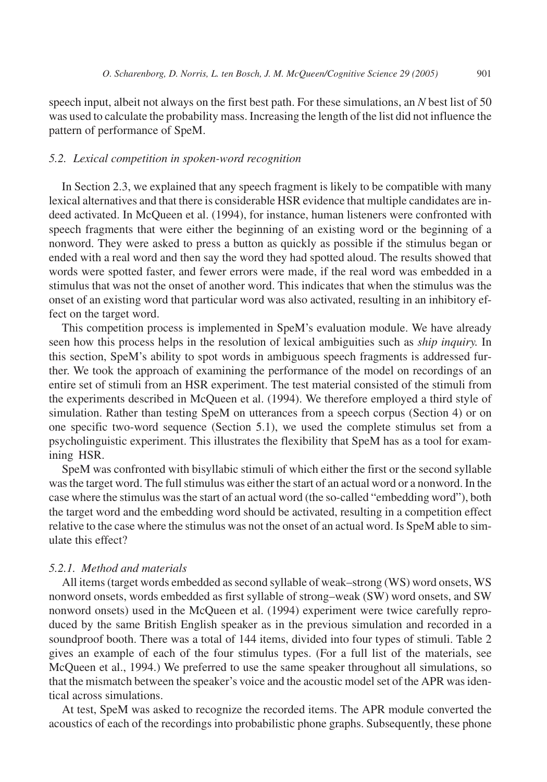speech input, albeit not always on the first best path. For these simulations, an *N* best list of 50 was used to calculate the probability mass. Increasing the length of the list did not influence the pattern of performance of SpeM.

## *5.2. Lexical competition in spoken-word recognition*

In Section 2.3, we explained that any speech fragment is likely to be compatible with many lexical alternatives and that there is considerable HSR evidence that multiple candidates are indeed activated. In McQueen et al. (1994), for instance, human listeners were confronted with speech fragments that were either the beginning of an existing word or the beginning of a nonword. They were asked to press a button as quickly as possible if the stimulus began or ended with a real word and then say the word they had spotted aloud. The results showed that words were spotted faster, and fewer errors were made, if the real word was embedded in a stimulus that was not the onset of another word. This indicates that when the stimulus was the onset of an existing word that particular word was also activated, resulting in an inhibitory effect on the target word.

This competition process is implemented in SpeM's evaluation module. We have already seen how this process helps in the resolution of lexical ambiguities such as *ship inquiry.* In this section, SpeM's ability to spot words in ambiguous speech fragments is addressed further. We took the approach of examining the performance of the model on recordings of an entire set of stimuli from an HSR experiment. The test material consisted of the stimuli from the experiments described in McQueen et al. (1994). We therefore employed a third style of simulation. Rather than testing SpeM on utterances from a speech corpus (Section 4) or on one specific two-word sequence (Section 5.1), we used the complete stimulus set from a psycholinguistic experiment. This illustrates the flexibility that SpeM has as a tool for examining HSR.

SpeM was confronted with bisyllabic stimuli of which either the first or the second syllable was the target word. The full stimulus was either the start of an actual word or a nonword. In the case where the stimulus was the start of an actual word (the so-called "embedding word"), both the target word and the embedding word should be activated, resulting in a competition effect relative to the case where the stimulus was not the onset of an actual word. Is SpeM able to simulate this effect?

## *5.2.1. Method and materials*

All items (target words embedded as second syllable of weak–strong (WS) word onsets, WS nonword onsets, words embedded as first syllable of strong–weak (SW) word onsets, and SW nonword onsets) used in the McQueen et al. (1994) experiment were twice carefully reproduced by the same British English speaker as in the previous simulation and recorded in a soundproof booth. There was a total of 144 items, divided into four types of stimuli. Table 2 gives an example of each of the four stimulus types. (For a full list of the materials, see McQueen et al., 1994.) We preferred to use the same speaker throughout all simulations, so that the mismatch between the speaker's voice and the acoustic model set of the APR was identical across simulations.

At test, SpeM was asked to recognize the recorded items. The APR module converted the acoustics of each of the recordings into probabilistic phone graphs. Subsequently, these phone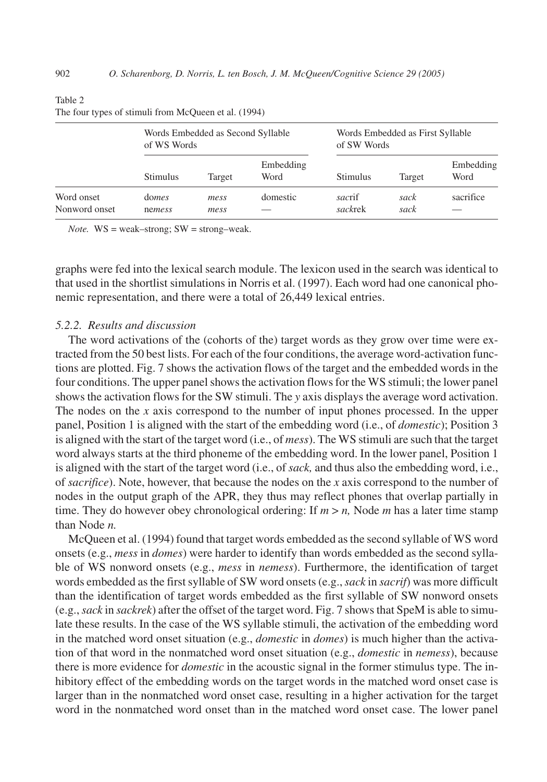|                             | of WS Words     | Words Embedded as Second Syllable |                   | Words Embedded as First Syllable<br>of SW Words |              |                   |  |
|-----------------------------|-----------------|-----------------------------------|-------------------|-------------------------------------------------|--------------|-------------------|--|
|                             | <b>Stimulus</b> | Target                            | Embedding<br>Word | Stimulus                                        | Target       | Embedding<br>Word |  |
| Word onset<br>Nonword onset | domes<br>nemess | mess<br>mess                      | domestic          | sacrif<br>sackrek                               | sack<br>sack | sacrifice         |  |

Table 2

|  |  |  | The four types of stimuli from McQueen et al. (1994) |  |
|--|--|--|------------------------------------------------------|--|
|  |  |  |                                                      |  |

*Note.* WS = weak–strong; SW = strong–weak.

graphs were fed into the lexical search module. The lexicon used in the search was identical to that used in the shortlist simulations in Norris et al. (1997). Each word had one canonical phonemic representation, and there were a total of 26,449 lexical entries.

## *5.2.2. Results and discussion*

The word activations of the (cohorts of the) target words as they grow over time were extracted from the 50 best lists. For each of the four conditions, the average word-activation functions are plotted. Fig. 7 shows the activation flows of the target and the embedded words in the four conditions. The upper panel shows the activation flows for the WS stimuli; the lower panel shows the activation flows for the SW stimuli. The *y* axis displays the average word activation. The nodes on the *x* axis correspond to the number of input phones processed. In the upper panel, Position 1 is aligned with the start of the embedding word (i.e., of *domestic*); Position 3 is aligned with the start of the target word (i.e., of *mess*). The WS stimuli are such that the target word always starts at the third phoneme of the embedding word. In the lower panel, Position 1 is aligned with the start of the target word (i.e., of *sack,* and thus also the embedding word, i.e., of *sacrifice*). Note, however, that because the nodes on the *x* axis correspond to the number of nodes in the output graph of the APR, they thus may reflect phones that overlap partially in time. They do however obey chronological ordering: If  $m > n$ , Node  $m$  has a later time stamp than Node *n.*

McQueen et al. (1994) found that target words embedded as the second syllable of WS word onsets (e.g., *mess* in *domes*) were harder to identify than words embedded as the second syllable of WS nonword onsets (e.g., *mess* in *nemess*). Furthermore, the identification of target words embedded as the first syllable of SW word onsets (e.g.,*sack* in *sacrif*) was more difficult than the identification of target words embedded as the first syllable of SW nonword onsets (e.g.,*sack* in *sackrek*) after the offset of the target word. Fig. 7 shows that SpeM is able to simulate these results. In the case of the WS syllable stimuli, the activation of the embedding word in the matched word onset situation (e.g., *domestic* in *domes*) is much higher than the activation of that word in the nonmatched word onset situation (e.g., *domestic* in *nemess*), because there is more evidence for *domestic* in the acoustic signal in the former stimulus type. The inhibitory effect of the embedding words on the target words in the matched word onset case is larger than in the nonmatched word onset case, resulting in a higher activation for the target word in the nonmatched word onset than in the matched word onset case. The lower panel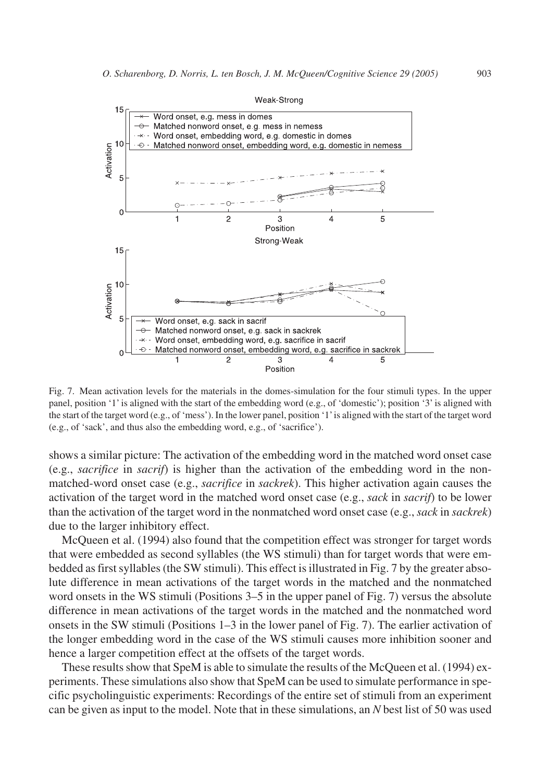

Fig. 7. Mean activation levels for the materials in the domes-simulation for the four stimuli types. In the upper panel, position '1' is aligned with the start of the embedding word (e.g., of 'domestic'); position '3' is aligned with the start of the target word (e.g., of 'mess'). In the lower panel, position '1'is aligned with the start of the target word (e.g., of 'sack', and thus also the embedding word, e.g., of 'sacrifice').

shows a similar picture: The activation of the embedding word in the matched word onset case (e.g., *sacrifice* in *sacrif*) is higher than the activation of the embedding word in the nonmatched-word onset case (e.g., *sacrifice* in *sackrek*). This higher activation again causes the activation of the target word in the matched word onset case (e.g., *sack* in *sacrif*) to be lower than the activation of the target word in the nonmatched word onset case (e.g., *sack* in *sackrek*) due to the larger inhibitory effect.

McQueen et al. (1994) also found that the competition effect was stronger for target words that were embedded as second syllables (the WS stimuli) than for target words that were embedded as first syllables (the SW stimuli). This effect is illustrated in Fig. 7 by the greater absolute difference in mean activations of the target words in the matched and the nonmatched word onsets in the WS stimuli (Positions 3–5 in the upper panel of Fig. 7) versus the absolute difference in mean activations of the target words in the matched and the nonmatched word onsets in the SW stimuli (Positions 1–3 in the lower panel of Fig. 7). The earlier activation of the longer embedding word in the case of the WS stimuli causes more inhibition sooner and hence a larger competition effect at the offsets of the target words.

These results show that SpeM is able to simulate the results of the McQueen et al. (1994) experiments. These simulations also show that SpeM can be used to simulate performance in specific psycholinguistic experiments: Recordings of the entire set of stimuli from an experiment can be given as input to the model. Note that in these simulations, an *N* best list of 50 was used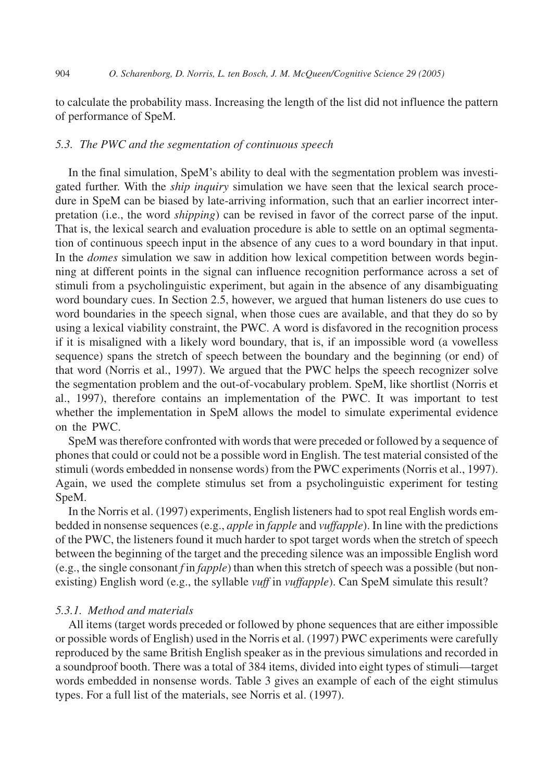to calculate the probability mass. Increasing the length of the list did not influence the pattern of performance of SpeM.

#### *5.3. The PWC and the segmentation of continuous speech*

In the final simulation, SpeM's ability to deal with the segmentation problem was investigated further. With the *ship inquiry* simulation we have seen that the lexical search procedure in SpeM can be biased by late-arriving information, such that an earlier incorrect interpretation (i.e., the word *shipping*) can be revised in favor of the correct parse of the input. That is, the lexical search and evaluation procedure is able to settle on an optimal segmentation of continuous speech input in the absence of any cues to a word boundary in that input. In the *domes* simulation we saw in addition how lexical competition between words beginning at different points in the signal can influence recognition performance across a set of stimuli from a psycholinguistic experiment, but again in the absence of any disambiguating word boundary cues. In Section 2.5, however, we argued that human listeners do use cues to word boundaries in the speech signal, when those cues are available, and that they do so by using a lexical viability constraint, the PWC. A word is disfavored in the recognition process if it is misaligned with a likely word boundary, that is, if an impossible word (a vowelless sequence) spans the stretch of speech between the boundary and the beginning (or end) of that word (Norris et al., 1997). We argued that the PWC helps the speech recognizer solve the segmentation problem and the out-of-vocabulary problem. SpeM, like shortlist (Norris et al., 1997), therefore contains an implementation of the PWC. It was important to test whether the implementation in SpeM allows the model to simulate experimental evidence on the PWC.

SpeM was therefore confronted with words that were preceded or followed by a sequence of phones that could or could not be a possible word in English. The test material consisted of the stimuli (words embedded in nonsense words) from the PWC experiments (Norris et al., 1997). Again, we used the complete stimulus set from a psycholinguistic experiment for testing SpeM.

In the Norris et al. (1997) experiments, English listeners had to spot real English words embedded in nonsense sequences (e.g., *apple* in *fapple* and *vuffapple*). In line with the predictions of the PWC, the listeners found it much harder to spot target words when the stretch of speech between the beginning of the target and the preceding silence was an impossible English word (e.g., the single consonant *f* in *fapple*) than when this stretch of speech was a possible (but nonexisting) English word (e.g., the syllable *vuff* in *vuffapple*). Can SpeM simulate this result?

## *5.3.1. Method and materials*

All items (target words preceded or followed by phone sequences that are either impossible or possible words of English) used in the Norris et al. (1997) PWC experiments were carefully reproduced by the same British English speaker as in the previous simulations and recorded in a soundproof booth. There was a total of 384 items, divided into eight types of stimuli—target words embedded in nonsense words. Table 3 gives an example of each of the eight stimulus types. For a full list of the materials, see Norris et al. (1997).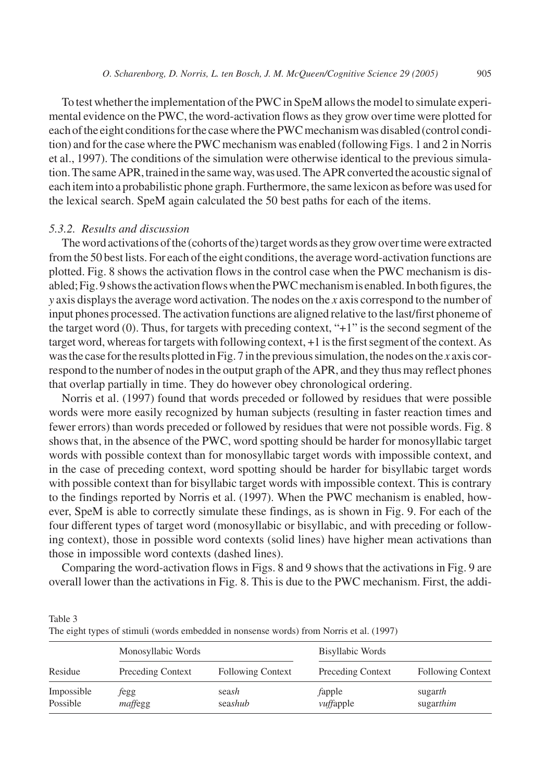To test whether the implementation of the PWC in SpeM allows the model to simulate experimental evidence on the PWC, the word-activation flows as they grow over time were plotted for each of the eight conditions for the case where the PWC mechanism was disabled (control condition) and for the case where the PWC mechanism was enabled (following Figs. 1 and 2 in Norris et al., 1997). The conditions of the simulation were otherwise identical to the previous simulation. The same APR, trained in the same way, was used. The APR converted the acoustic signal of each item into a probabilistic phone graph. Furthermore, the same lexicon as before was used for the lexical search. SpeM again calculated the 50 best paths for each of the items.

#### *5.3.2. Results and discussion*

Table 3

The word activations of the (cohorts of the) target words as they grow over time were extracted from the 50 best lists. For each of the eight conditions, the average word-activation functions are plotted. Fig. 8 shows the activation flows in the control case when the PWC mechanism is disabled; Fig. 9 shows the activation flows when the PWC mechanism is enabled. In both figures, the *y* axis displays the average word activation. The nodes on the *x* axis correspond to the number of input phones processed. The activation functions are aligned relative to the last/first phoneme of the target word (0). Thus, for targets with preceding context, "+1" is the second segment of the target word, whereas for targets with following context, +1 is the first segment of the context. As was the case for the results plotted in Fig. 7 in the previous simulation, the nodes on the *x* axis correspond to the number of nodes in the output graph of the APR, and they thus may reflect phones that overlap partially in time. They do however obey chronological ordering.

Norris et al. (1997) found that words preceded or followed by residues that were possible words were more easily recognized by human subjects (resulting in faster reaction times and fewer errors) than words preceded or followed by residues that were not possible words. Fig. 8 shows that, in the absence of the PWC, word spotting should be harder for monosyllabic target words with possible context than for monosyllabic target words with impossible context, and in the case of preceding context, word spotting should be harder for bisyllabic target words with possible context than for bisyllabic target words with impossible context. This is contrary to the findings reported by Norris et al. (1997). When the PWC mechanism is enabled, however, SpeM is able to correctly simulate these findings, as is shown in Fig. 9. For each of the four different types of target word (monosyllabic or bisyllabic, and with preceding or following context), those in possible word contexts (solid lines) have higher mean activations than those in impossible word contexts (dashed lines).

Comparing the word-activation flows in Figs. 8 and 9 shows that the activations in Fig. 9 are overall lower than the activations in Fig. 8. This is due to the PWC mechanism. First, the addi-

|                        | The eight types of stimuli (words embedded in nonsense words) from Norris et al. (1997) |                          |                          |                          |  |  |
|------------------------|-----------------------------------------------------------------------------------------|--------------------------|--------------------------|--------------------------|--|--|
|                        | Monosyllabic Words                                                                      |                          | Bisyllabic Words         |                          |  |  |
| Residue                | Preceding Context                                                                       | <b>Following Context</b> | <b>Preceding Context</b> | <b>Following Context</b> |  |  |
| Impossible<br>Possible | fegg<br>maffegg                                                                         | seash<br>seashub         | fapple<br>vuffapple      | sugarth<br>sugarthim     |  |  |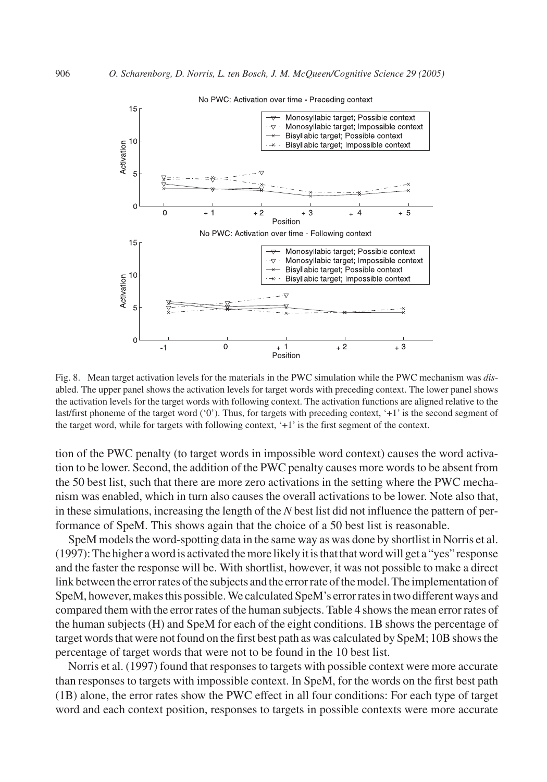

Fig. 8. Mean target activation levels for the materials in the PWC simulation while the PWC mechanism was *dis*abled. The upper panel shows the activation levels for target words with preceding context. The lower panel shows the activation levels for the target words with following context. The activation functions are aligned relative to the last/first phoneme of the target word ('0'). Thus, for targets with preceding context, '+1' is the second segment of the target word, while for targets with following context, '+1' is the first segment of the context.

tion of the PWC penalty (to target words in impossible word context) causes the word activation to be lower. Second, the addition of the PWC penalty causes more words to be absent from the 50 best list, such that there are more zero activations in the setting where the PWC mechanism was enabled, which in turn also causes the overall activations to be lower. Note also that, in these simulations, increasing the length of the *N* best list did not influence the pattern of performance of SpeM. This shows again that the choice of a 50 best list is reasonable.

SpeM models the word-spotting data in the same way as was done by shortlist in Norris et al. (1997): The higher a word is activated the more likely it is that that word will get a "yes" response and the faster the response will be. With shortlist, however, it was not possible to make a direct link between the error rates of the subjects and the error rate of the model. The implementation of SpeM, however, makes this possible. We calculated SpeM's error rates in two different ways and compared them with the error rates of the human subjects. Table 4 shows the mean error rates of the human subjects (H) and SpeM for each of the eight conditions. 1B shows the percentage of target words that were not found on the first best path as was calculated by SpeM; 10B shows the percentage of target words that were not to be found in the 10 best list.

Norris et al. (1997) found that responses to targets with possible context were more accurate than responses to targets with impossible context. In SpeM, for the words on the first best path (1B) alone, the error rates show the PWC effect in all four conditions: For each type of target word and each context position, responses to targets in possible contexts were more accurate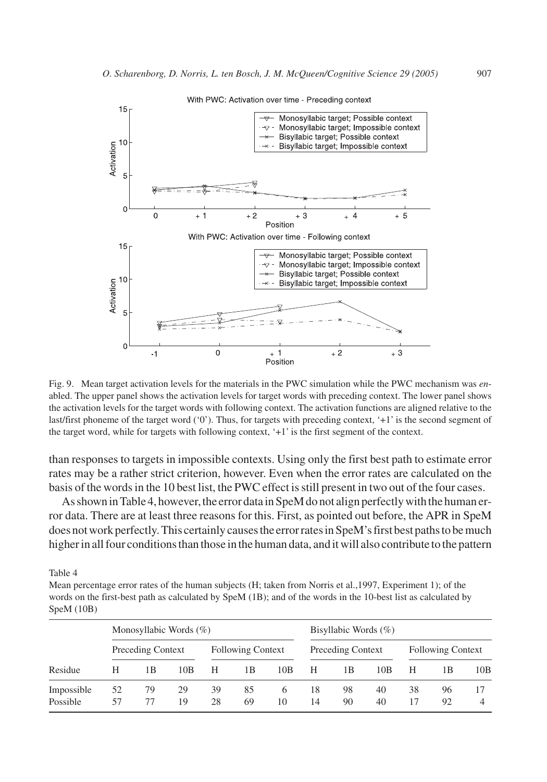

Fig. 9. Mean target activation levels for the materials in the PWC simulation while the PWC mechanism was *en*abled. The upper panel shows the activation levels for target words with preceding context. The lower panel shows the activation levels for the target words with following context. The activation functions are aligned relative to the last/first phoneme of the target word ('0'). Thus, for targets with preceding context, '+1' is the second segment of the target word, while for targets with following context, '+1' is the first segment of the context.

than responses to targets in impossible contexts. Using only the first best path to estimate error rates may be a rather strict criterion, however. Even when the error rates are calculated on the basis of the words in the 10 best list, the PWC effect is still present in two out of the four cases.

As shown in Table 4, however, the error data in SpeM do not align perfectly with the human error data. There are at least three reasons for this. First, as pointed out before, the APR in SpeM does not work perfectly. This certainly causes the error rates in SpeM's first best paths to be much higher in all four conditions than those in the human data, and it will also contribute to the pattern

Table 4

Mean percentage error rates of the human subjects (H; taken from Norris et al.,1997, Experiment 1); of the words on the first-best path as calculated by SpeM (1B); and of the words in the 10-best list as calculated by SpeM (10B)

|                        | Monosyllabic Words $(\% )$ |                   |          |          |                          |         | Bisyllabic Words $(\% )$ |                          |          |          |                          |     |
|------------------------|----------------------------|-------------------|----------|----------|--------------------------|---------|--------------------------|--------------------------|----------|----------|--------------------------|-----|
|                        |                            | Preceding Context |          |          | <b>Following Context</b> |         |                          | <b>Preceding Context</b> |          |          | <b>Following Context</b> |     |
| Residue                | н                          | 1Β                | 10B      | Н        | 1В                       | 10B     | н                        | 1 B                      | 10B      | Н        | 1B                       | 10B |
| Impossible<br>Possible | 52<br>57                   | 79<br>77          | 29<br>19 | 39<br>28 | 85<br>69                 | 6<br>10 | 18<br>14                 | 98<br>90                 | 40<br>40 | 38<br>17 | 96<br>92                 |     |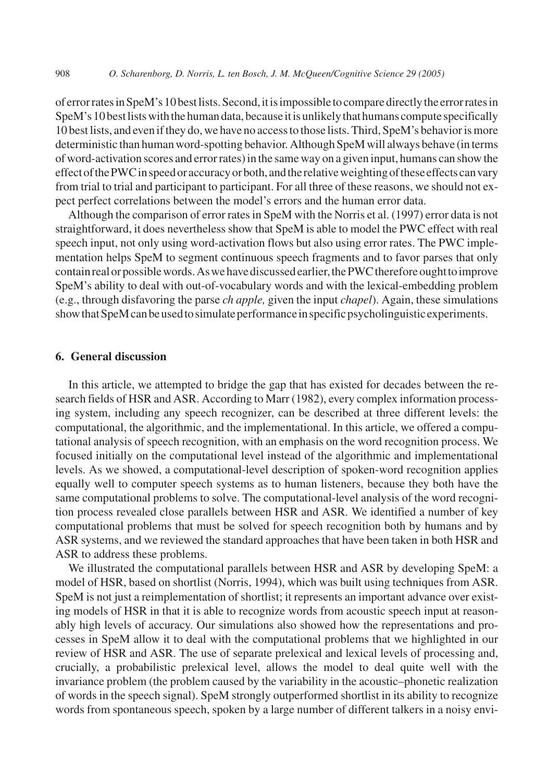of error rates in SpeM's 10 best lists. Second, it is impossible to compare directly the error rates in SpeM's 10 best lists with the human data, because it is unlikely that humans compute specifically 10 best lists, and even if they do, we have no access to those lists. Third, SpeM's behavior is more deterministic than human word-spotting behavior. Although SpeM will always behave (in terms of word-activation scores and error rates) in the same way on a given input, humans can show the effectofthePWCinspeedoraccuracyorboth,andtherelativeweightingoftheseeffectscanvary from trial to trial and participant to participant. For all three of these reasons, we should not expect perfect correlations between the model's errors and the human error data.

Although the comparison of error rates in SpeM with the Norris et al. (1997) error data is not straightforward, it does nevertheless show that SpeM is able to model the PWC effect with real speech input, not only using word-activation flows but also using error rates. The PWC implementation helps SpeM to segment continuous speech fragments and to favor parses that only contain real or possible words. As we have discussed earlier, the PWC therefore ought to improve SpeM's ability to deal with out-of-vocabulary words and with the lexical-embedding problem (e.g., through disfavoring the parse *ch apple,* given the input *chapel*). Again, these simulations show that SpeM can be used to simulate performance in specific psycholinguistic experiments.

## **6. General discussion**

In this article, we attempted to bridge the gap that has existed for decades between the research fields of HSR and ASR. According to Marr (1982), every complex information processing system, including any speech recognizer, can be described at three different levels: the computational, the algorithmic, and the implementational. In this article, we offered a computational analysis of speech recognition, with an emphasis on the word recognition process. We focused initially on the computational level instead of the algorithmic and implementational levels. As we showed, a computational-level description of spoken-word recognition applies equally well to computer speech systems as to human listeners, because they both have the same computational problems to solve. The computational-level analysis of the word recognition process revealed close parallels between HSR and ASR. We identified a number of key computational problems that must be solved for speech recognition both by humans and by ASR systems, and we reviewed the standard approaches that have been taken in both HSR and ASR to address these problems.

We illustrated the computational parallels between HSR and ASR by developing SpeM: a model of HSR, based on shortlist (Norris, 1994), which was built using techniques from ASR. SpeM is not just a reimplementation of shortlist; it represents an important advance over existing models of HSR in that it is able to recognize words from acoustic speech input at reasonably high levels of accuracy. Our simulations also showed how the representations and processes in SpeM allow it to deal with the computational problems that we highlighted in our review of HSR and ASR. The use of separate prelexical and lexical levels of processing and, crucially, a probabilistic prelexical level, allows the model to deal quite well with the invariance problem (the problem caused by the variability in the acoustic–phonetic realization of words in the speech signal). SpeM strongly outperformed shortlist in its ability to recognize words from spontaneous speech, spoken by a large number of different talkers in a noisy envi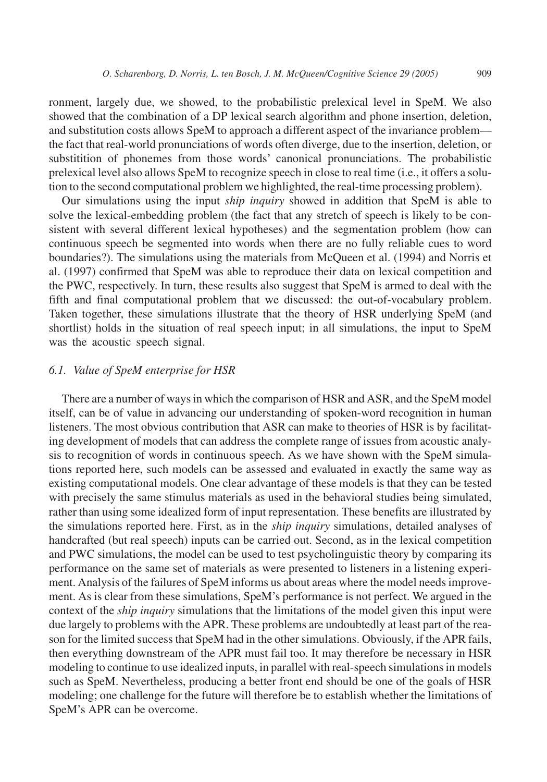ronment, largely due, we showed, to the probabilistic prelexical level in SpeM. We also showed that the combination of a DP lexical search algorithm and phone insertion, deletion, and substitution costs allows SpeM to approach a different aspect of the invariance problem the fact that real-world pronunciations of words often diverge, due to the insertion, deletion, or substitition of phonemes from those words' canonical pronunciations. The probabilistic prelexical level also allows SpeM to recognize speech in close to real time (i.e., it offers a solution to the second computational problem we highlighted, the real-time processing problem).

Our simulations using the input *ship inquiry* showed in addition that SpeM is able to solve the lexical-embedding problem (the fact that any stretch of speech is likely to be consistent with several different lexical hypotheses) and the segmentation problem (how can continuous speech be segmented into words when there are no fully reliable cues to word boundaries?). The simulations using the materials from McQueen et al. (1994) and Norris et al. (1997) confirmed that SpeM was able to reproduce their data on lexical competition and the PWC, respectively. In turn, these results also suggest that SpeM is armed to deal with the fifth and final computational problem that we discussed: the out-of-vocabulary problem. Taken together, these simulations illustrate that the theory of HSR underlying SpeM (and shortlist) holds in the situation of real speech input; in all simulations, the input to SpeM was the acoustic speech signal.

# *6.1. Value of SpeM enterprise for HSR*

There are a number of ways in which the comparison of HSR and ASR, and the SpeM model itself, can be of value in advancing our understanding of spoken-word recognition in human listeners. The most obvious contribution that ASR can make to theories of HSR is by facilitating development of models that can address the complete range of issues from acoustic analysis to recognition of words in continuous speech. As we have shown with the SpeM simulations reported here, such models can be assessed and evaluated in exactly the same way as existing computational models. One clear advantage of these models is that they can be tested with precisely the same stimulus materials as used in the behavioral studies being simulated, rather than using some idealized form of input representation. These benefits are illustrated by the simulations reported here. First, as in the *ship inquiry* simulations, detailed analyses of handcrafted (but real speech) inputs can be carried out. Second, as in the lexical competition and PWC simulations, the model can be used to test psycholinguistic theory by comparing its performance on the same set of materials as were presented to listeners in a listening experiment. Analysis of the failures of SpeM informs us about areas where the model needs improvement. As is clear from these simulations, SpeM's performance is not perfect. We argued in the context of the *ship inquiry* simulations that the limitations of the model given this input were due largely to problems with the APR. These problems are undoubtedly at least part of the reason for the limited success that SpeM had in the other simulations. Obviously, if the APR fails, then everything downstream of the APR must fail too. It may therefore be necessary in HSR modeling to continue to use idealized inputs, in parallel with real-speech simulations in models such as SpeM. Nevertheless, producing a better front end should be one of the goals of HSR modeling; one challenge for the future will therefore be to establish whether the limitations of SpeM's APR can be overcome.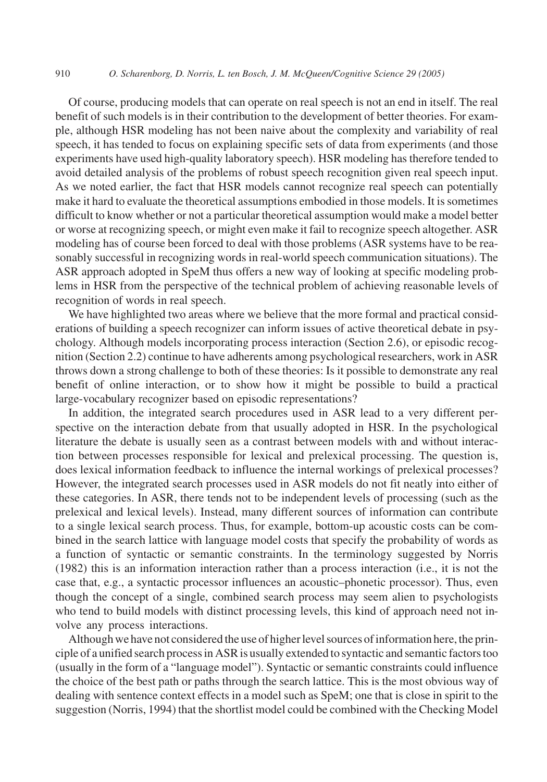Of course, producing models that can operate on real speech is not an end in itself. The real benefit of such models is in their contribution to the development of better theories. For example, although HSR modeling has not been naive about the complexity and variability of real speech, it has tended to focus on explaining specific sets of data from experiments (and those experiments have used high-quality laboratory speech). HSR modeling has therefore tended to avoid detailed analysis of the problems of robust speech recognition given real speech input. As we noted earlier, the fact that HSR models cannot recognize real speech can potentially make it hard to evaluate the theoretical assumptions embodied in those models. It is sometimes difficult to know whether or not a particular theoretical assumption would make a model better or worse at recognizing speech, or might even make it fail to recognize speech altogether. ASR modeling has of course been forced to deal with those problems (ASR systems have to be reasonably successful in recognizing words in real-world speech communication situations). The ASR approach adopted in SpeM thus offers a new way of looking at specific modeling problems in HSR from the perspective of the technical problem of achieving reasonable levels of recognition of words in real speech.

We have highlighted two areas where we believe that the more formal and practical considerations of building a speech recognizer can inform issues of active theoretical debate in psychology. Although models incorporating process interaction (Section 2.6), or episodic recognition (Section 2.2) continue to have adherents among psychological researchers, work in ASR throws down a strong challenge to both of these theories: Is it possible to demonstrate any real benefit of online interaction, or to show how it might be possible to build a practical large-vocabulary recognizer based on episodic representations?

In addition, the integrated search procedures used in ASR lead to a very different perspective on the interaction debate from that usually adopted in HSR. In the psychological literature the debate is usually seen as a contrast between models with and without interaction between processes responsible for lexical and prelexical processing. The question is, does lexical information feedback to influence the internal workings of prelexical processes? However, the integrated search processes used in ASR models do not fit neatly into either of these categories. In ASR, there tends not to be independent levels of processing (such as the prelexical and lexical levels). Instead, many different sources of information can contribute to a single lexical search process. Thus, for example, bottom-up acoustic costs can be combined in the search lattice with language model costs that specify the probability of words as a function of syntactic or semantic constraints. In the terminology suggested by Norris (1982) this is an information interaction rather than a process interaction (i.e., it is not the case that, e.g., a syntactic processor influences an acoustic–phonetic processor). Thus, even though the concept of a single, combined search process may seem alien to psychologists who tend to build models with distinct processing levels, this kind of approach need not involve any process interactions.

Although we have not considered the use of higher level sources of information here, the principle of a unified search process in ASR is usually extended to syntactic and semantic factors too (usually in the form of a "language model"). Syntactic or semantic constraints could influence the choice of the best path or paths through the search lattice. This is the most obvious way of dealing with sentence context effects in a model such as SpeM; one that is close in spirit to the suggestion (Norris, 1994) that the shortlist model could be combined with the Checking Model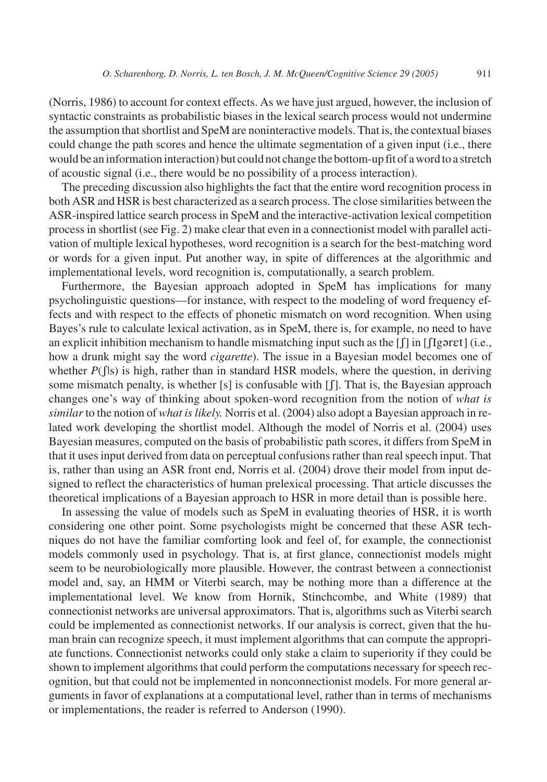(Norris, 1986) to account for context effects. As we have just argued, however, the inclusion of syntactic constraints as probabilistic biases in the lexical search process would not undermine the assumption that shortlist and SpeM are noninteractive models. That is, the contextual biases could change the path scores and hence the ultimate segmentation of a given input (i.e., there would be an information interaction) but could not change the bottom-up fit of a word to a stretch of acoustic signal (i.e., there would be no possibility of a process interaction).

The preceding discussion also highlights the fact that the entire word recognition process in both ASR and HSR is best characterized as a search process. The close similarities between the ASR-inspired lattice search process in SpeM and the interactive-activation lexical competition process in shortlist (see Fig. 2) make clear that even in a connectionist model with parallel activation of multiple lexical hypotheses, word recognition is a search for the best-matching word or words for a given input. Put another way, in spite of differences at the algorithmic and implementational levels, word recognition is, computationally, a search problem.

Furthermore, the Bayesian approach adopted in SpeM has implications for many psycholinguistic questions—for instance, with respect to the modeling of word frequency effects and with respect to the effects of phonetic mismatch on word recognition. When using Bayes's rule to calculate lexical activation, as in SpeM, there is, for example, no need to have an explicit inhibition mechanism to handle mismatching input such as the  $\iint$  in  $\iint$  garet] (i.e., how a drunk might say the word *cigarette*). The issue in a Bayesian model becomes one of whether *P*( $\int$ |s) is high, rather than in standard HSR models, where the question, in deriving some mismatch penalty, is whether [s] is confusable with  $[f]$ . That is, the Bayesian approach changes one's way of thinking about spoken-word recognition from the notion of *what is similar*to the notion of *what is likely.* Norris et al. (2004) also adopt a Bayesian approach in related work developing the shortlist model. Although the model of Norris et al. (2004) uses Bayesian measures, computed on the basis of probabilistic path scores, it differs from SpeM in that it uses input derived from data on perceptual confusions rather than real speech input. That is, rather than using an ASR front end, Norris et al. (2004) drove their model from input designed to reflect the characteristics of human prelexical processing. That article discusses the theoretical implications of a Bayesian approach to HSR in more detail than is possible here.

In assessing the value of models such as SpeM in evaluating theories of HSR, it is worth considering one other point. Some psychologists might be concerned that these ASR techniques do not have the familiar comforting look and feel of, for example, the connectionist models commonly used in psychology. That is, at first glance, connectionist models might seem to be neurobiologically more plausible. However, the contrast between a connectionist model and, say, an HMM or Viterbi search, may be nothing more than a difference at the implementational level. We know from Hornik, Stinchcombe, and White (1989) that connectionist networks are universal approximators. That is, algorithms such as Viterbi search could be implemented as connectionist networks. If our analysis is correct, given that the human brain can recognize speech, it must implement algorithms that can compute the appropriate functions. Connectionist networks could only stake a claim to superiority if they could be shown to implement algorithms that could perform the computations necessary for speech recognition, but that could not be implemented in nonconnectionist models. For more general arguments in favor of explanations at a computational level, rather than in terms of mechanisms or implementations, the reader is referred to Anderson (1990).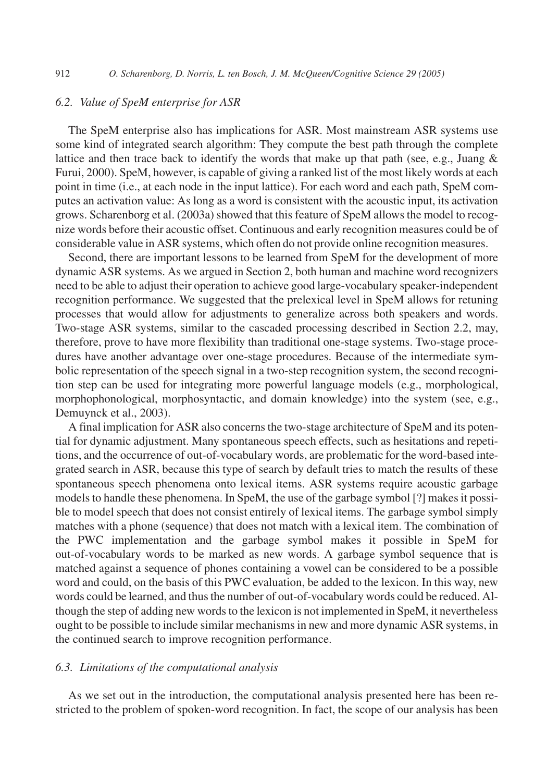# *6.2. Value of SpeM enterprise for ASR*

The SpeM enterprise also has implications for ASR. Most mainstream ASR systems use some kind of integrated search algorithm: They compute the best path through the complete lattice and then trace back to identify the words that make up that path (see, e.g., Juang  $\&$ Furui, 2000). SpeM, however, is capable of giving a ranked list of the most likely words at each point in time (i.e., at each node in the input lattice). For each word and each path, SpeM computes an activation value: As long as a word is consistent with the acoustic input, its activation grows. Scharenborg et al. (2003a) showed that this feature of SpeM allows the model to recognize words before their acoustic offset. Continuous and early recognition measures could be of considerable value in ASR systems, which often do not provide online recognition measures.

Second, there are important lessons to be learned from SpeM for the development of more dynamic ASR systems. As we argued in Section 2, both human and machine word recognizers need to be able to adjust their operation to achieve good large-vocabulary speaker-independent recognition performance. We suggested that the prelexical level in SpeM allows for retuning processes that would allow for adjustments to generalize across both speakers and words. Two-stage ASR systems, similar to the cascaded processing described in Section 2.2, may, therefore, prove to have more flexibility than traditional one-stage systems. Two-stage procedures have another advantage over one-stage procedures. Because of the intermediate symbolic representation of the speech signal in a two-step recognition system, the second recognition step can be used for integrating more powerful language models (e.g., morphological, morphophonological, morphosyntactic, and domain knowledge) into the system (see, e.g., Demuynck et al., 2003).

A final implication for ASR also concerns the two-stage architecture of SpeM and its potential for dynamic adjustment. Many spontaneous speech effects, such as hesitations and repetitions, and the occurrence of out-of-vocabulary words, are problematic for the word-based integrated search in ASR, because this type of search by default tries to match the results of these spontaneous speech phenomena onto lexical items. ASR systems require acoustic garbage models to handle these phenomena. In SpeM, the use of the garbage symbol [?] makes it possible to model speech that does not consist entirely of lexical items. The garbage symbol simply matches with a phone (sequence) that does not match with a lexical item. The combination of the PWC implementation and the garbage symbol makes it possible in SpeM for out-of-vocabulary words to be marked as new words. A garbage symbol sequence that is matched against a sequence of phones containing a vowel can be considered to be a possible word and could, on the basis of this PWC evaluation, be added to the lexicon. In this way, new words could be learned, and thus the number of out-of-vocabulary words could be reduced. Although the step of adding new words to the lexicon is not implemented in SpeM, it nevertheless ought to be possible to include similar mechanisms in new and more dynamic ASR systems, in the continued search to improve recognition performance.

## *6.3. Limitations of the computational analysis*

As we set out in the introduction, the computational analysis presented here has been restricted to the problem of spoken-word recognition. In fact, the scope of our analysis has been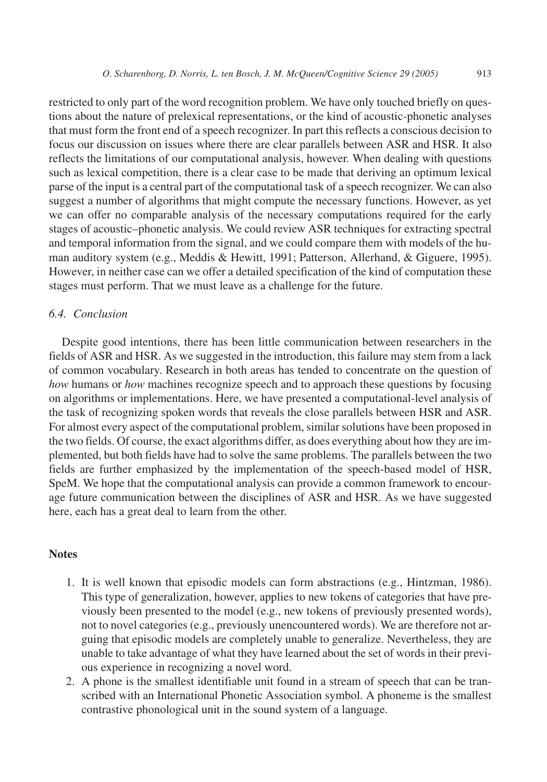restricted to only part of the word recognition problem. We have only touched briefly on questions about the nature of prelexical representations, or the kind of acoustic-phonetic analyses that must form the front end of a speech recognizer. In part this reflects a conscious decision to focus our discussion on issues where there are clear parallels between ASR and HSR. It also reflects the limitations of our computational analysis, however. When dealing with questions such as lexical competition, there is a clear case to be made that deriving an optimum lexical parse of the input is a central part of the computational task of a speech recognizer. We can also suggest a number of algorithms that might compute the necessary functions. However, as yet we can offer no comparable analysis of the necessary computations required for the early stages of acoustic–phonetic analysis. We could review ASR techniques for extracting spectral and temporal information from the signal, and we could compare them with models of the human auditory system (e.g., Meddis & Hewitt, 1991; Patterson, Allerhand, & Giguere, 1995). However, in neither case can we offer a detailed specification of the kind of computation these stages must perform. That we must leave as a challenge for the future.

## *6.4. Conclusion*

Despite good intentions, there has been little communication between researchers in the fields of ASR and HSR. As we suggested in the introduction, this failure may stem from a lack of common vocabulary. Research in both areas has tended to concentrate on the question of *how* humans or *how* machines recognize speech and to approach these questions by focusing on algorithms or implementations. Here, we have presented a computational-level analysis of the task of recognizing spoken words that reveals the close parallels between HSR and ASR. For almost every aspect of the computational problem, similar solutions have been proposed in the two fields. Of course, the exact algorithms differ, as does everything about how they are implemented, but both fields have had to solve the same problems. The parallels between the two fields are further emphasized by the implementation of the speech-based model of HSR, SpeM. We hope that the computational analysis can provide a common framework to encourage future communication between the disciplines of ASR and HSR. As we have suggested here, each has a great deal to learn from the other.

#### **Notes**

- 1. It is well known that episodic models can form abstractions (e.g., Hintzman, 1986). This type of generalization, however, applies to new tokens of categories that have previously been presented to the model (e.g., new tokens of previously presented words), not to novel categories (e.g., previously unencountered words). We are therefore not arguing that episodic models are completely unable to generalize. Nevertheless, they are unable to take advantage of what they have learned about the set of words in their previous experience in recognizing a novel word.
- 2. A phone is the smallest identifiable unit found in a stream of speech that can be transcribed with an International Phonetic Association symbol. A phoneme is the smallest contrastive phonological unit in the sound system of a language.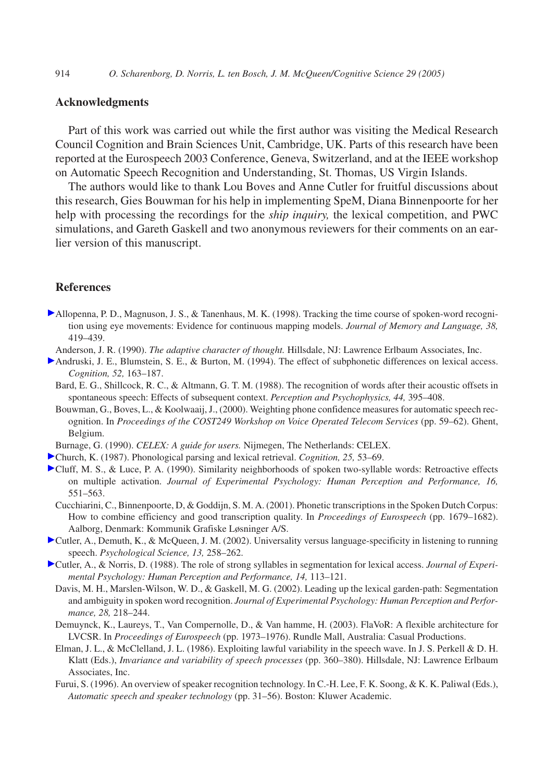## **Acknowledgments**

Part of this work was carried out while the first author was visiting the Medical Research Council Cognition and Brain Sciences Unit, Cambridge, UK. Parts of this research have been reported at the Eurospeech 2003 Conference, Geneva, Switzerland, and at the IEEE workshop on Automatic Speech Recognition and Understanding, St. Thomas, US Virgin Islands.

The authors would like to thank Lou Boves and Anne Cutler for fruitful discussions about this research, Gies Bouwman for his help in implementing SpeM, Diana Binnenpoorte for her help with processing the recordings for the *ship inquiry,* the lexical competition, and PWC simulations, and Gareth Gaskell and two anonymous reviewers for their comments on an earlier version of this manuscript.

## **References**

- Allopenna, P. D., Magnuson, J. S., & Tanenhaus, M. K. (1998). Tracking the time course of spoken-word recognition using eye movements: Evidence for continuous mapping models. *Journal of Memory and Language, 38,* 419–439.
	- Anderson, J. R. (1990). *The adaptive character of thought.* Hillsdale, NJ: Lawrence Erlbaum Associates, Inc.
- Andruski, J. E., Blumstein, S. E., & Burton, M. (1994). The effect of subphonetic differences on lexical access. *Cognition, 52,* 163–187.
	- Bard, E. G., Shillcock, R. C., & Altmann, G. T. M. (1988). The recognition of words after their acoustic offsets in spontaneous speech: Effects of subsequent context. *Perception and Psychophysics, 44,* 395–408.
	- Bouwman, G., Boves, L., & Koolwaaij, J., (2000). Weighting phone confidence measures for automatic speech recognition. In *Proceedings of the COST249 Workshop on Voice Operated Telecom Services* (pp. 59–62). Ghent, Belgium.
- Burnage, G. (1990). *CELEX: A guide for users.* Nijmegen, The Netherlands: CELEX.
- Church, K. (1987). Phonological parsing and lexical retrieval. *Cognition, 25,* 53–69.
- Cluff, M. S., & Luce, P. A. (1990). Similarity neighborhoods of spoken two-syllable words: Retroactive effects on multiple activation. *Journal of Experimental Psychology: Human Perception and Performance, 16,* 551–563.
	- Cucchiarini, C., Binnenpoorte, D, & Goddijn, S. M. A. (2001). Phonetic transcriptions in the Spoken Dutch Corpus: How to combine efficiency and good transcription quality. In *Proceedings of Eurospeech* (pp. 1679–1682). Aalborg, Denmark: Kommunik Grafiske Løsninger A/S.
- Cutler, A., Demuth, K., & McQueen, J. M. (2002). Universality versus language-specificity in listening to running speech. *Psychological Science, 13,* 258–262.
- Cutler, A., & Norris, D. (1988). The role of strong syllables in segmentation for lexical access. *Journal of Experimental Psychology: Human Perception and Performance, 14,* 113–121.
	- Davis, M. H., Marslen-Wilson, W. D., & Gaskell, M. G. (2002). Leading up the lexical garden-path: Segmentation and ambiguity in spoken word recognition. *Journal of Experimental Psychology: Human Perception and Performance, 28,* 218–244.
	- Demuynck, K., Laureys, T., Van Compernolle, D., & Van hamme, H. (2003). FlaVoR: A flexible architecture for LVCSR. In *Proceedings of Eurospeech* (pp. 1973–1976). Rundle Mall, Australia: Casual Productions.
	- Elman, J. L., & McClelland, J. L. (1986). Exploiting lawful variability in the speech wave. In J. S. Perkell & D. H. Klatt (Eds.), *Invariance and variability of speech processes* (pp. 360–380). Hillsdale, NJ: Lawrence Erlbaum Associates, Inc.
	- Furui, S. (1996). An overview of speaker recognition technology. In C.-H. Lee, F. K. Soong, & K. K. Paliwal (Eds.), *Automatic speech and speaker technology* (pp. 31–56). Boston: Kluwer Academic.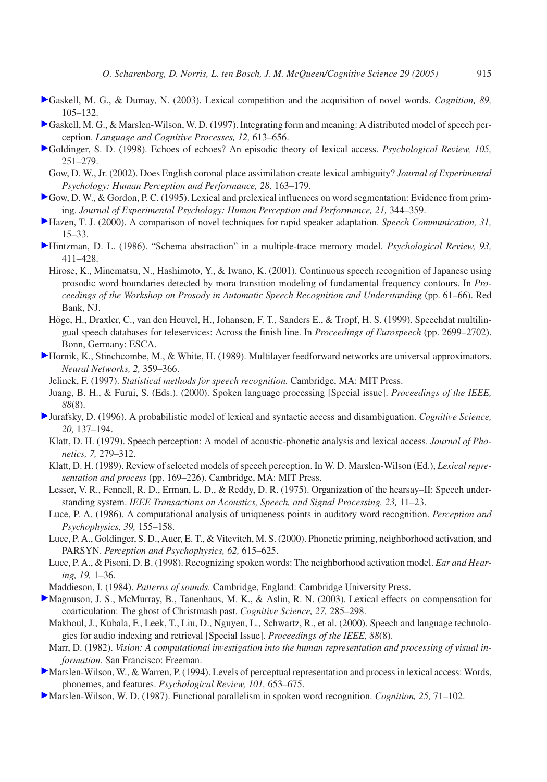- Gaskell, M. G., & Dumay, N. (2003). Lexical competition and the acquisition of novel words. *Cognition, 89,* 105–132.
- Gaskell, M. G., & Marslen-Wilson, W. D. (1997). Integrating form and meaning: A distributed model of speech perception. *Language and Cognitive Processes, 12,* 613–656.
- Goldinger, S. D. (1998). Echoes of echoes? An episodic theory of lexical access. *Psychological Review, 105,* 251–279.
	- Gow, D. W., Jr. (2002). Does English coronal place assimilation create lexical ambiguity? *Journal of Experimental Psychology: Human Perception and Performance, 28,* 163–179.
- Gow, D. W., & Gordon, P. C. (1995). Lexical and prelexical influences on word segmentation: Evidence from priming. *Journal of Experimental Psychology: Human Perception and Performance, 21,* 344–359.
- Hazen, T. J. (2000). A comparison of novel techniques for rapid speaker adaptation. *Speech Communication, 31,* 15–33.
- Hintzman, D. L. (1986). "Schema abstraction" in a multiple-trace memory model. *Psychological Review, 93,* 411–428.
	- Hirose, K., Minematsu, N., Hashimoto, Y., & Iwano, K. (2001). Continuous speech recognition of Japanese using prosodic word boundaries detected by mora transition modeling of fundamental frequency contours. In *Proceedings of the Workshop on Prosody in Automatic Speech Recognition and Understanding* (pp. 61–66). Red Bank, NJ.
- Höge, H., Draxler, C., van den Heuvel, H., Johansen, F. T., Sanders E., & Tropf, H. S. (1999). Speechdat multilingual speech databases for teleservices: Across the finish line. In *Proceedings of Eurospeech* (pp. 2699–2702). Bonn, Germany: ESCA.
- Hornik, K., Stinchcombe, M., & White, H. (1989). Multilayer feedforward networks are universal approximators. *Neural Networks, 2,* 359–366.
	- Jelinek, F. (1997). *Statistical methods for speech recognition.* Cambridge, MA: MIT Press.
	- Juang, B. H., & Furui, S. (Eds.). (2000). Spoken language processing [Special issue]. *Proceedings of the IEEE, 88*(8).
- Jurafsky, D. (1996). A probabilistic model of lexical and syntactic access and disambiguation. *Cognitive Science, 20,* 137–194.
	- Klatt, D. H. (1979). Speech perception: A model of acoustic-phonetic analysis and lexical access. *Journal of Phonetics, 7,* 279–312.
	- Klatt, D. H. (1989). Review of selected models of speech perception. In W. D. Marslen-Wilson (Ed.), *Lexical representation and process* (pp. 169–226). Cambridge, MA: MIT Press.
	- Lesser, V. R., Fennell, R. D., Erman, L. D., & Reddy, D. R. (1975). Organization of the hearsay–II: Speech understanding system. *IEEE Transactions on Acoustics, Speech, and Signal Processing, 23,* 11–23.
	- Luce, P. A. (1986). A computational analysis of uniqueness points in auditory word recognition. *Perception and Psychophysics, 39,* 155–158.
	- Luce, P. A., Goldinger, S. D., Auer, E. T., & Vitevitch, M. S. (2000). Phonetic priming, neighborhood activation, and PARSYN. *Perception and Psychophysics, 62,* 615–625.
	- Luce, P. A., & Pisoni, D. B. (1998). Recognizing spoken words: The neighborhood activation model. *Ear and Hearing, 19,* 1–36.
- Maddieson, I. (1984). *Patterns of sounds.* Cambridge, England: Cambridge University Press.
- Magnuson, J. S., McMurray, B., Tanenhaus, M. K., & Aslin, R. N. (2003). Lexical effects on compensation for coarticulation: The ghost of Christmash past. *Cognitive Science, 27,* 285–298.
- Makhoul, J., Kubala, F., Leek, T., Liu, D., Nguyen, L., Schwartz, R., et al. (2000). Speech and language technologies for audio indexing and retrieval [Special Issue]. *Proceedings of the IEEE, 88*(8).
- Marr, D. (1982). *Vision: A computational investigation into the human representation and processing of visual information.* San Francisco: Freeman.
- Marslen-Wilson, W., & Warren, P. (1994). Levels of perceptual representation and process in lexical access: Words, phonemes, and features. *Psychological Review, 101,* 653–675.
- Marslen-Wilson, W. D. (1987). Functional parallelism in spoken word recognition. *Cognition, 25,* 71–102.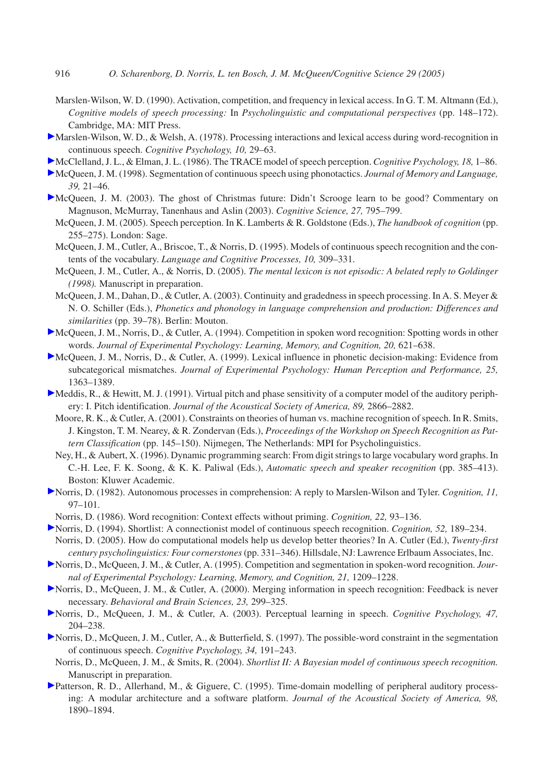- Marslen-Wilson, W. D. (1990). Activation, competition, and frequency in lexical access. In G. T. M. Altmann (Ed.), *Cognitive models of speech processing:* In *Psycholinguistic and computational perspectives* (pp. 148–172). Cambridge, MA: MIT Press.
- Marslen-Wilson, W. D., & Welsh, A. (1978). Processing interactions and lexical access during word-recognition in continuous speech. *Cognitive Psychology, 10,* 29–63.
- McClelland, J. L., & Elman, J. L. (1986). The TRACE model of speech perception. *Cognitive Psychology, 18,* 1–86.
- McQueen, J. M. (1998). Segmentation of continuous speech using phonotactics. *Journal of Memory and Language, 39,* 21–46.
- McQueen, J. M. (2003). The ghost of Christmas future: Didn't Scrooge learn to be good? Commentary on Magnuson, McMurray, Tanenhaus and Aslin (2003). *Cognitive Science, 27,* 795–799.
	- McQueen, J. M. (2005). Speech perception. In K. Lamberts & R. Goldstone (Eds.), *The handbook of cognition* (pp. 255–275). London: Sage.
	- McQueen, J. M., Cutler, A., Briscoe, T., & Norris, D. (1995). Models of continuous speech recognition and the contents of the vocabulary. *Language and Cognitive Processes, 10,* 309–331.
	- McQueen, J. M., Cutler, A., & Norris, D. (2005). *The mental lexicon is not episodic: A belated reply to Goldinger (1998).* Manuscript in preparation.
	- McQueen, J. M., Dahan, D., & Cutler, A. (2003). Continuity and gradedness in speech processing. In A. S. Meyer & N. O. Schiller (Eds.), *Phonetics and phonology in language comprehension and production: Differences and similarities* (pp. 39–78). Berlin: Mouton.
- McQueen, J. M., Norris, D., & Cutler, A. (1994). Competition in spoken word recognition: Spotting words in other words. *Journal of Experimental Psychology: Learning, Memory, and Cognition, 20,* 621–638.
- McQueen, J. M., Norris, D., & Cutler, A. (1999). Lexical influence in phonetic decision-making: Evidence from subcategorical mismatches. *Journal of Experimental Psychology: Human Perception and Performance, 25,* 1363–1389.
- Meddis, R., & Hewitt, M. J. (1991). Virtual pitch and phase sensitivity of a computer model of the auditory periphery: I. Pitch identification. *Journal of the Acoustical Society of America, 89,* 2866–2882.
	- Moore, R. K., & Cutler, A. (2001). Constraints on theories of human vs. machine recognition of speech. In R. Smits, J. Kingston, T. M. Nearey, & R. Zondervan (Eds.), *Proceedings of the Workshop on Speech Recognition as Pattern Classification* (pp. 145–150). Nijmegen, The Netherlands: MPI for Psycholinguistics.
	- Ney, H., & Aubert, X. (1996). Dynamic programming search: From digit strings to large vocabulary word graphs. In C.-H. Lee, F. K. Soong, & K. K. Paliwal (Eds.), *Automatic speech and speaker recognition* (pp. 385–413). Boston: Kluwer Academic.
- Norris, D. (1982). Autonomous processes in comprehension: A reply to Marslen-Wilson and Tyler. *Cognition, 11,* 97–101.
- Norris, D. (1986). Word recognition: Context effects without priming. *Cognition, 22,* 93–136.
- Norris, D. (1994). Shortlist: A connectionist model of continuous speech recognition. *Cognition, 52,* 189–234. Norris, D. (2005). How do computational models help us develop better theories? In A. Cutler (Ed.), *Twenty-first century psycholinguistics: Four cornerstones*(pp. 331–346). Hillsdale, NJ: Lawrence Erlbaum Associates, Inc.
- Norris, D., McQueen, J. M., & Cutler, A. (1995). Competition and segmentation in spoken-word recognition. *Journal of Experimental Psychology: Learning, Memory, and Cognition, 21,* 1209–1228.
- Norris, D., McQueen, J. M., & Cutler, A. (2000). Merging information in speech recognition: Feedback is never necessary. *Behavioral and Brain Sciences, 23,* 299–325.
- Norris, D., McQueen, J. M., & Cutler, A. (2003). Perceptual learning in speech. *Cognitive Psychology, 47,* 204–238.
- Norris, D., McQueen, J. M., Cutler, A., & Butterfield, S. (1997). The possible-word constraint in the segmentation of continuous speech. *Cognitive Psychology, 34,* 191–243.
	- Norris, D., McQueen, J. M., & Smits, R. (2004). *Shortlist II: A Bayesian model of continuous speech recognition.* Manuscript in preparation.
- Patterson, R. D., Allerhand, M., & Giguere, C. (1995). Time-domain modelling of peripheral auditory processing: A modular architecture and a software platform. *Journal of the Acoustical Society of America, 98,* 1890–1894.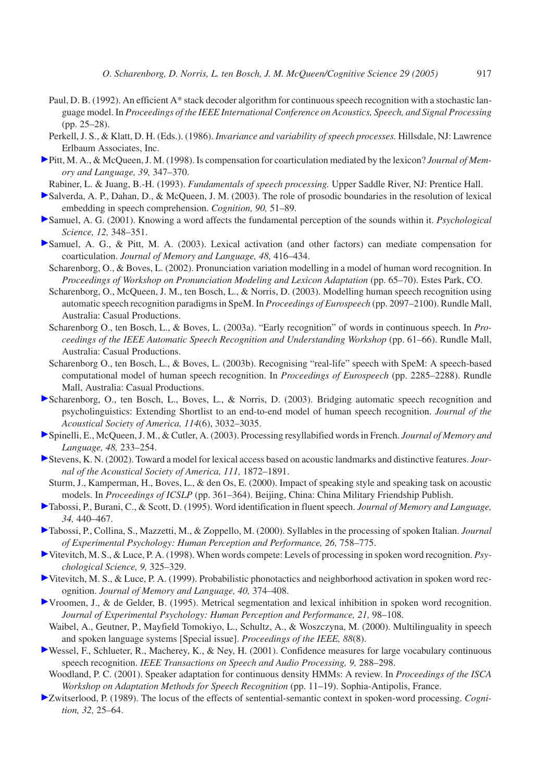- Paul, D. B. (1992). An efficient A\* stack decoder algorithm for continuous speech recognition with a stochastic language model. In *Proceedings of the IEEE International Conference on Acoustics, Speech, and Signal Processing* (pp. 25–28).
- Perkell, J. S., & Klatt, D. H. (Eds.). (1986). *Invariance and variability of speech processes.* Hillsdale, NJ: Lawrence Erlbaum Associates, Inc.
- Pitt, M. A., & McQueen, J. M. (1998). Is compensation for coarticulation mediated by the lexicon? *Journal of Memory and Language, 39,* 347–370.
- Rabiner, L. & Juang, B.-H. (1993). *Fundamentals of speech processing.* Upper Saddle River, NJ: Prentice Hall.
- Salverda, A. P., Dahan, D., & McQueen, J. M. (2003). The role of prosodic boundaries in the resolution of lexical embedding in speech comprehension. *Cognition, 90,* 51–89.
- Samuel, A. G. (2001). Knowing a word affects the fundamental perception of the sounds within it. *Psychological Science, 12,* 348–351.
- Samuel, A. G., & Pitt, M. A. (2003). Lexical activation (and other factors) can mediate compensation for coarticulation. *Journal of Memory and Language, 48,* 416–434.
	- Scharenborg, O., & Boves, L. (2002). Pronunciation variation modelling in a model of human word recognition. In *Proceedings of Workshop on Pronunciation Modeling and Lexicon Adaptation* (pp. 65–70). Estes Park, CO.
	- Scharenborg, O., McQueen, J. M., ten Bosch, L., & Norris, D. (2003). Modelling human speech recognition using automatic speech recognition paradigms in SpeM. In *Proceedings of Eurospeech* (pp. 2097–2100). Rundle Mall, Australia: Casual Productions.
	- Scharenborg O., ten Bosch, L., & Boves, L. (2003a). "Early recognition" of words in continuous speech. In *Proceedings of the IEEE Automatic Speech Recognition and Understanding Workshop* (pp. 61–66). Rundle Mall, Australia: Casual Productions.
	- Scharenborg O., ten Bosch, L., & Boves, L. (2003b). Recognising "real-life" speech with SpeM: A speech-based computational model of human speech recognition. In *Proceedings of Eurospeech* (pp. 2285–2288). Rundle Mall, Australia: Casual Productions.
- Scharenborg, O., ten Bosch, L., Boves, L., & Norris, D. (2003). Bridging automatic speech recognition and psycholinguistics: Extending Shortlist to an end-to-end model of human speech recognition. *Journal of the Acoustical Society of America, 114*(6), 3032–3035.
- Spinelli, E., McQueen, J. M., & Cutler, A. (2003). Processing resyllabified words in French. *Journal of Memory and Language, 48,* 233–254.
- Stevens, K. N. (2002). Toward a model for lexical access based on acoustic landmarks and distinctive features. *Journal of the Acoustical Society of America, 111,* 1872–1891.
- Sturm, J., Kamperman, H., Boves, L., & den Os, E. (2000). Impact of speaking style and speaking task on acoustic models. In *Proceedings of ICSLP* (pp. 361–364). Beijing, China: China Military Friendship Publish.
- Tabossi, P., Burani, C., & Scott, D. (1995). Word identification in fluent speech. *Journal of Memory and Language, 34,* 440–467.
- Tabossi, P., Collina, S., Mazzetti, M., & Zoppello, M. (2000). Syllables in the processing of spoken Italian. *Journal of Experimental Psychology: Human Perception and Performance, 26,* 758–775.
- Vitevitch, M. S., & Luce, P. A. (1998). When words compete: Levels of processing in spoken word recognition. *Psychological Science, 9,* 325–329.
- Vitevitch, M. S., & Luce, P. A. (1999). Probabilistic phonotactics and neighborhood activation in spoken word recognition. *Journal of Memory and Language, 40,* 374–408.
- Vroomen, J., & de Gelder, B. (1995). Metrical segmentation and lexical inhibition in spoken word recognition. *Journal of Experimental Psychology: Human Perception and Performance, 21,* 98–108.
- Waibel, A., Geutner, P., Mayfield Tomokiyo, L., Schultz, A., & Woszczyna, M. (2000). Multilinguality in speech and spoken language systems [Special issue]. *Proceedings of the IEEE, 88*(8).
- Wessel, F., Schlueter, R., Macherey, K., & Ney, H. (2001). Confidence measures for large vocabulary continuous speech recognition. *IEEE Transactions on Speech and Audio Processing, 9,* 288–298.
- Woodland, P. C. (2001). Speaker adaptation for continuous density HMMs: A review. In *Proceedings of the ISCA Workshop on Adaptation Methods for Speech Recognition* (pp. 11–19). Sophia-Antipolis, France.
- Zwitserlood, P. (1989). The locus of the effects of sentential-semantic context in spoken-word processing. *Cognition, 32,* 25–64.